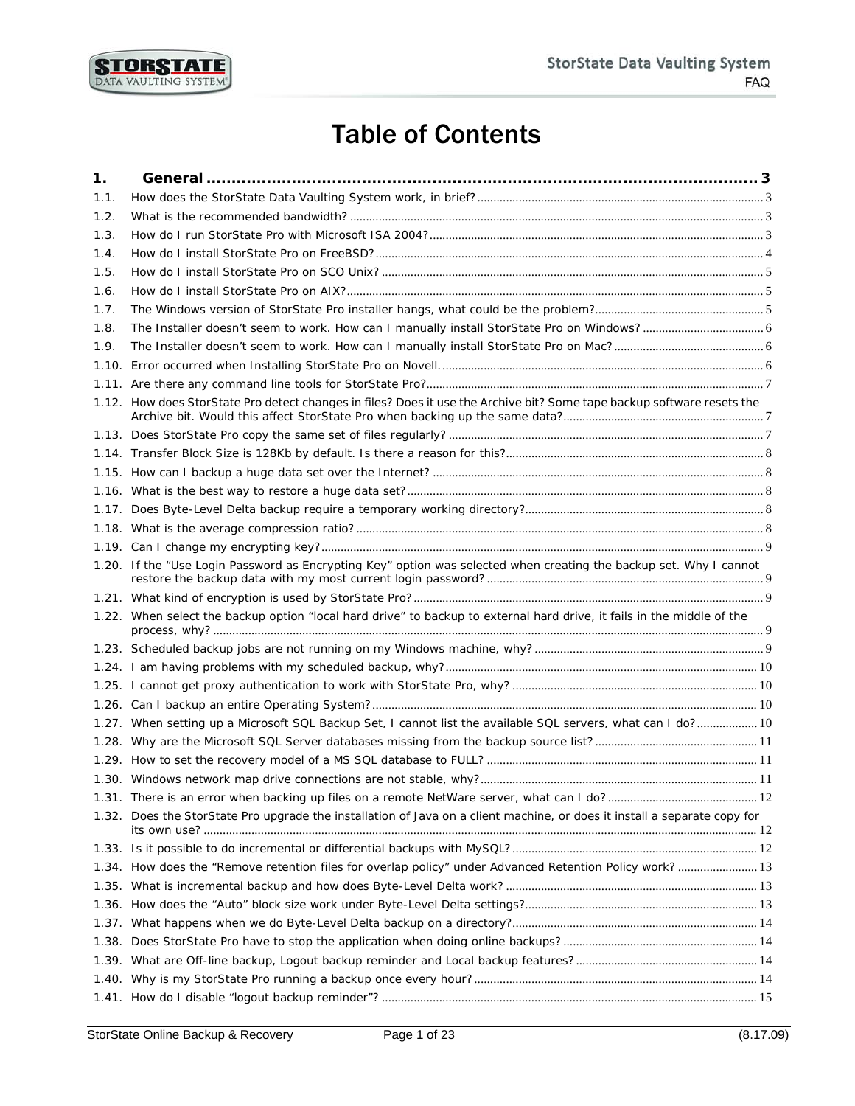

# Table of Contents

<span id="page-0-0"></span>

| 1.   |                                                                                                                           |  |
|------|---------------------------------------------------------------------------------------------------------------------------|--|
| 1.1. |                                                                                                                           |  |
| 1.2. |                                                                                                                           |  |
| 1.3. |                                                                                                                           |  |
| 1.4. |                                                                                                                           |  |
| 1.5. |                                                                                                                           |  |
| 1.6. |                                                                                                                           |  |
| 1.7. |                                                                                                                           |  |
| 1.8. |                                                                                                                           |  |
| 1.9. |                                                                                                                           |  |
|      |                                                                                                                           |  |
|      |                                                                                                                           |  |
|      | 1.12. How does StorState Pro detect changes in files? Does it use the Archive bit? Some tape backup software resets the   |  |
|      |                                                                                                                           |  |
|      |                                                                                                                           |  |
|      |                                                                                                                           |  |
|      |                                                                                                                           |  |
|      |                                                                                                                           |  |
|      |                                                                                                                           |  |
|      |                                                                                                                           |  |
|      | 1.20. If the "Use Login Password as Encrypting Key" option was selected when creating the backup set. Why I cannot        |  |
|      |                                                                                                                           |  |
|      | 1.22. When select the backup option "local hard drive" to backup to external hard drive, it fails in the middle of the    |  |
|      |                                                                                                                           |  |
|      |                                                                                                                           |  |
|      |                                                                                                                           |  |
|      |                                                                                                                           |  |
|      | 1.27. When setting up a Microsoft SQL Backup Set, I cannot list the available SQL servers, what can I do? 10              |  |
|      |                                                                                                                           |  |
|      |                                                                                                                           |  |
|      |                                                                                                                           |  |
|      |                                                                                                                           |  |
|      | 1.32. Does the StorState Pro upgrade the installation of Java on a client machine, or does it install a separate copy for |  |
|      |                                                                                                                           |  |
|      | 1.34. How does the "Remove retention files for overlap policy" under Advanced Retention Policy work?  13                  |  |
|      |                                                                                                                           |  |
|      |                                                                                                                           |  |
|      |                                                                                                                           |  |
|      |                                                                                                                           |  |
|      |                                                                                                                           |  |
|      |                                                                                                                           |  |
|      |                                                                                                                           |  |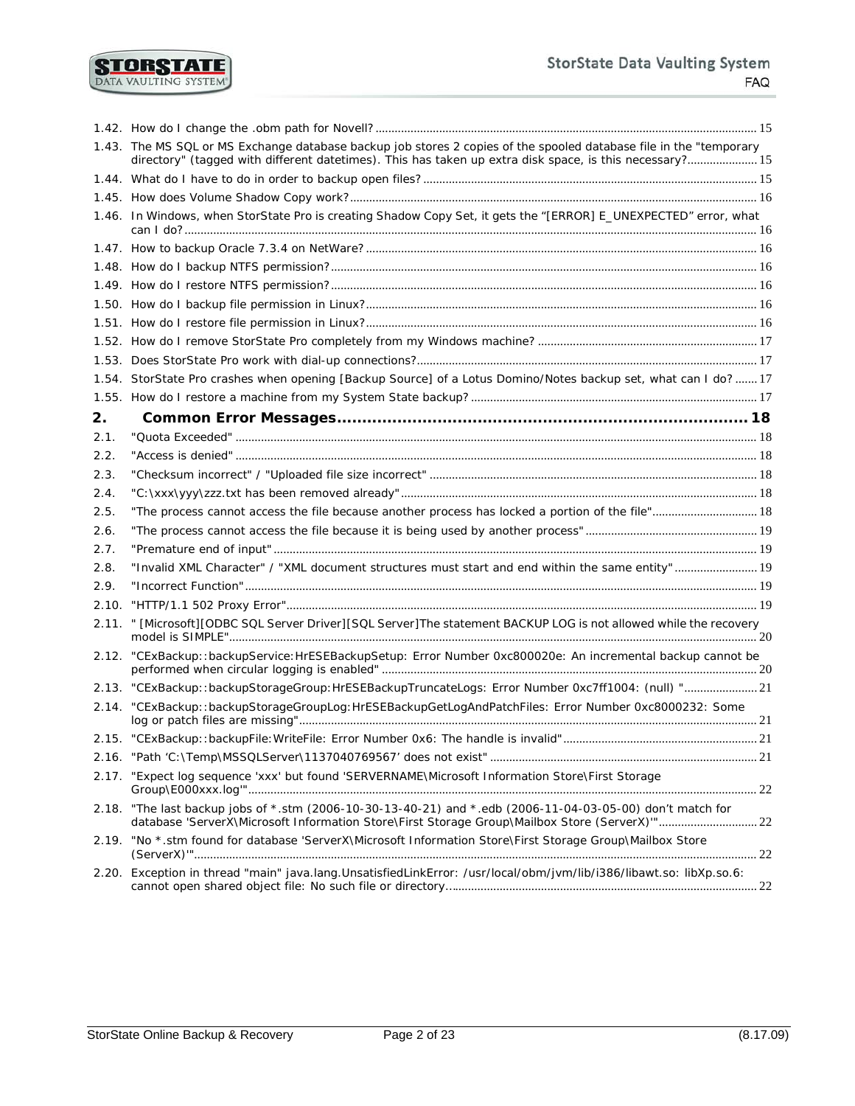#### **StorState Data Vaulting System FAQ**

|       | 1.43. The MS SQL or MS Exchange database backup job stores 2 copies of the spooled database file in the "temporary                                                                                     |      |
|-------|--------------------------------------------------------------------------------------------------------------------------------------------------------------------------------------------------------|------|
|       | directory" (tagged with different datetimes). This has taken up extra disk space, is this necessary? 15                                                                                                |      |
|       |                                                                                                                                                                                                        |      |
|       |                                                                                                                                                                                                        |      |
|       | 1.46. In Windows, when StorState Pro is creating Shadow Copy Set, it gets the "[ERROR] E_UNEXPECTED" error, what                                                                                       |      |
|       |                                                                                                                                                                                                        |      |
|       |                                                                                                                                                                                                        |      |
|       |                                                                                                                                                                                                        |      |
|       |                                                                                                                                                                                                        |      |
|       |                                                                                                                                                                                                        |      |
|       |                                                                                                                                                                                                        |      |
|       |                                                                                                                                                                                                        |      |
|       | 1.54. StorState Pro crashes when opening [Backup Source] of a Lotus Domino/Notes backup set, what can I do? 17                                                                                         |      |
|       |                                                                                                                                                                                                        |      |
| 2.    |                                                                                                                                                                                                        |      |
| 2.1.  |                                                                                                                                                                                                        |      |
| 2.2.  |                                                                                                                                                                                                        |      |
| 2.3.  |                                                                                                                                                                                                        |      |
| 2.4.  |                                                                                                                                                                                                        |      |
| 2.5.  | "The process cannot access the file because another process has locked a portion of the file" 18                                                                                                       |      |
| 2.6.  |                                                                                                                                                                                                        |      |
| 2.7.  |                                                                                                                                                                                                        |      |
| 2.8.  | "Invalid XML Character" / "XML document structures must start and end within the same entity" 19                                                                                                       |      |
| 2.9.  |                                                                                                                                                                                                        |      |
| 2.10. |                                                                                                                                                                                                        |      |
| 2.11. | " [Microsoft][ODBC SQL Server Driver][SQL Server]The statement BACKUP LOG is not allowed while the recovery                                                                                            |      |
| 2.12. | "CExBackup::backupService:HrESEBackupSetup: Error Number 0xc800020e: An incremental backup cannot be                                                                                                   |      |
|       | 2.13. "CExBackup::backupStorageGroup:HrESEBackupTruncateLogs: Error Number 0xc7ff1004: (null) "21                                                                                                      |      |
| 2.14. | "CExBackup::backupStorageGroupLog:HrESEBackupGetLogAndPatchFiles: Error Number 0xc8000232: Some                                                                                                        |      |
| 2.15. |                                                                                                                                                                                                        | . 21 |
|       |                                                                                                                                                                                                        |      |
| 2.17. | "Expect log sequence 'xxx' but found 'SERVERNAME\Microsoft Information Store\First Storage                                                                                                             |      |
| 2.18. | "The last backup jobs of *.stm (2006-10-30-13-40-21) and *.edb (2006-11-04-03-05-00) don't match for<br>database 'ServerX\Microsoft Information Store\First Storage Group\Mailbox Store (ServerX)"" 22 |      |
| 2.19. | "No *.stm found for database 'ServerX\Microsoft Information Store\First Storage Group\Mailbox Store                                                                                                    |      |
|       | 2.20. Exception in thread "main" java.lang.UnsatisfiedLinkError: /usr/local/obm/jvm/lib/i386/libawt.so: libXp.so.6:                                                                                    |      |

**STORSTATE**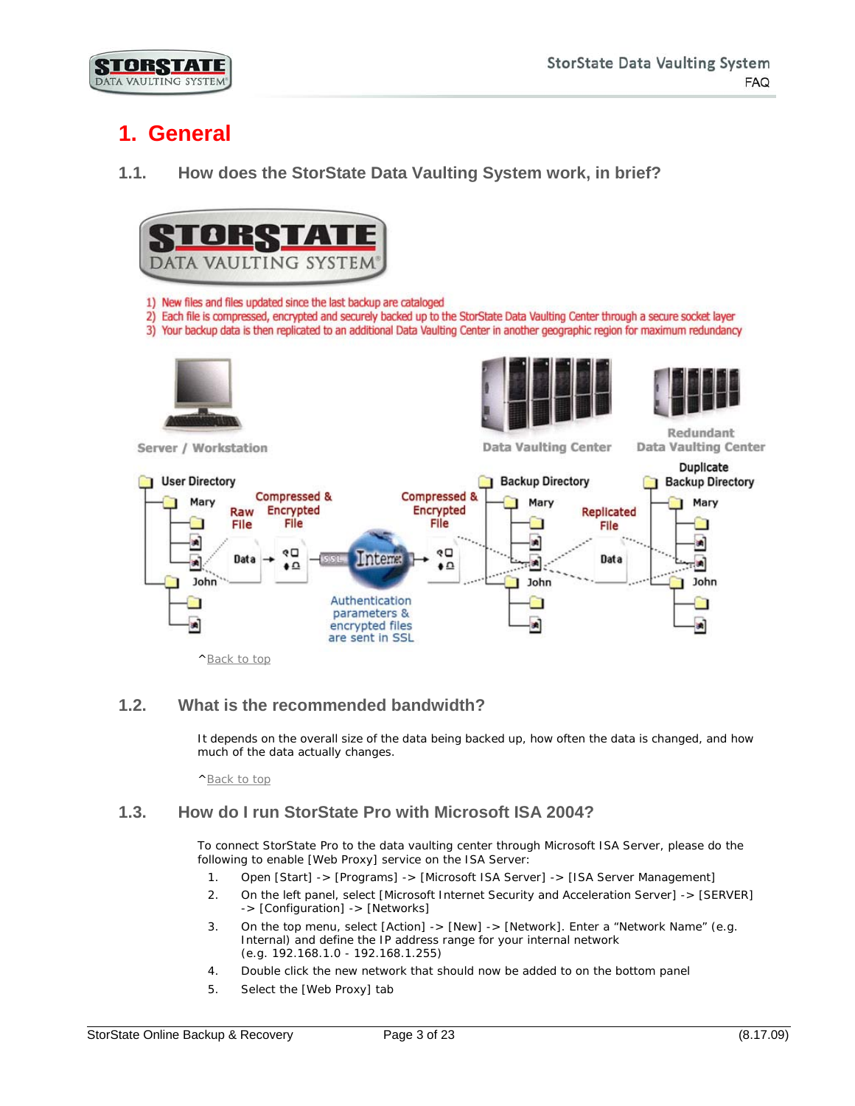# <span id="page-2-0"></span>**1. General**

<span id="page-2-1"></span>**1.1. How does the StorState Data Vaulting System work, in brief?**



- 1) New files and files updated since the last backup are cataloged
- 2) Each file is compressed, encrypted and securely backed up to the StorState Data Vaulting Center through a secure socket layer
- 3) Your backup data is then replicated to an additional Data Vaulting Center in another geographic region for maximum redundancy



Server / Workstation





**Data Vaulting Center** 

Redundant **Data Vaulting Center** 



[^Back to top](#page-0-0)

# <span id="page-2-2"></span>**1.2. What is the recommended bandwidth?**

It depends on the overall size of the data being backed up, how often the data is changed, and how much of the data actually changes.

[^Back to top](#page-0-0)

# <span id="page-2-3"></span>**1.3. How do I run StorState Pro with Microsoft ISA 2004?**

To connect StorState Pro to the data vaulting center through Microsoft ISA Server, please do the following to enable [Web Proxy] service on the ISA Server:

- 1. Open [Start] -> [Programs] -> [Microsoft ISA Server] -> [ISA Server Management]
- 2. On the left panel, select [Microsoft Internet Security and Acceleration Server] -> [SERVER] -> [Configuration] -> [Networks]
- 3. On the top menu, select [Action] -> [New] -> [Network]. Enter a "Network Name" (e.g. Internal) and define the IP address range for your internal network (e.g. 192.168.1.0 - 192.168.1.255)
- 4. Double click the new network that should now be added to on the bottom panel
- 5. Select the [Web Proxy] tab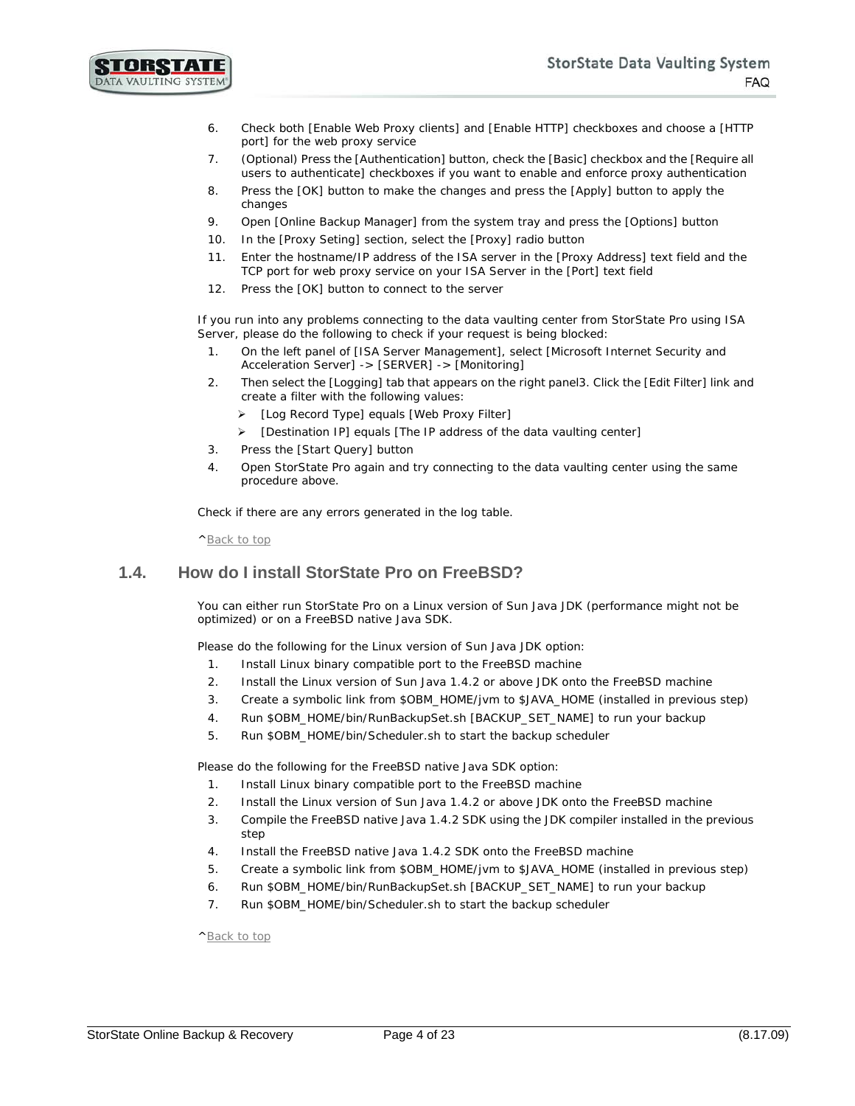

- 6. Check both [Enable Web Proxy clients] and [Enable HTTP] checkboxes and choose a [HTTP port] for the web proxy service
- 7. (Optional) Press the [Authentication] button, check the [Basic] checkbox and the [Require all users to authenticate] checkboxes if you want to enable and enforce proxy authentication
- 8. Press the [OK] button to make the changes and press the [Apply] button to apply the changes
- 9. Open [Online Backup Manager] from the system tray and press the [Options] button
- 10. In the [Proxy Seting] section, select the [Proxy] radio button
- 11. Enter the hostname/IP address of the ISA server in the [Proxy Address] text field and the TCP port for web proxy service on your ISA Server in the [Port] text field
- 12. Press the [OK] button to connect to the server

If you run into any problems connecting to the data vaulting center from StorState Pro using ISA Server, please do the following to check if your request is being blocked:

- 1. On the left panel of [ISA Server Management], select [Microsoft Internet Security and Acceleration Server] -> [SERVER] -> [Monitoring]
- 2. Then select the [Logging] tab that appears on the right panel3. Click the [Edit Filter] link and create a filter with the following values:
	- [Log Record Type] equals [Web Proxy Filter]
	- $\triangleright$  [Destination IP] equals [The IP address of the data vaulting center]
- 3. Press the [Start Query] button
- 4. Open StorState Pro again and try connecting to the data vaulting center using the same procedure above.

Check if there are any errors generated in the log table.

[^Back to top](#page-0-0)

#### <span id="page-3-0"></span>**1.4. How do I install StorState Pro on FreeBSD?**

You can either run StorState Pro on a Linux version of Sun Java JDK (performance might not be optimized) or on a FreeBSD native Java SDK.

Please do the following for the Linux version of Sun Java JDK option:

- 1. Install Linux binary compatible port to the FreeBSD machine
- 2. Install the Linux version of Sun Java 1.4.2 or above JDK onto the FreeBSD machine
- 3. Create a symbolic link from \$OBM\_HOME/jvm to \$JAVA\_HOME (installed in previous step)
- 4. Run \$OBM\_HOME/bin/RunBackupSet.sh [BACKUP\_SET\_NAME] to run your backup
- 5. Run \$OBM\_HOME/bin/Scheduler.sh to start the backup scheduler

Please do the following for the FreeBSD native Java SDK option:

- 1. Install Linux binary compatible port to the FreeBSD machine
- 2. Install the Linux version of Sun Java 1.4.2 or above JDK onto the FreeBSD machine
- 3. Compile the FreeBSD native Java 1.4.2 SDK using the JDK compiler installed in the previous step
- 4. Install the FreeBSD native Java 1.4.2 SDK onto the FreeBSD machine
- 5. Create a symbolic link from \$OBM\_HOME/jvm to \$JAVA\_HOME (installed in previous step)
- 6. Run \$OBM\_HOME/bin/RunBackupSet.sh [BACKUP\_SET\_NAME] to run your backup
- 7. Run \$OBM\_HOME/bin/Scheduler.sh to start the backup scheduler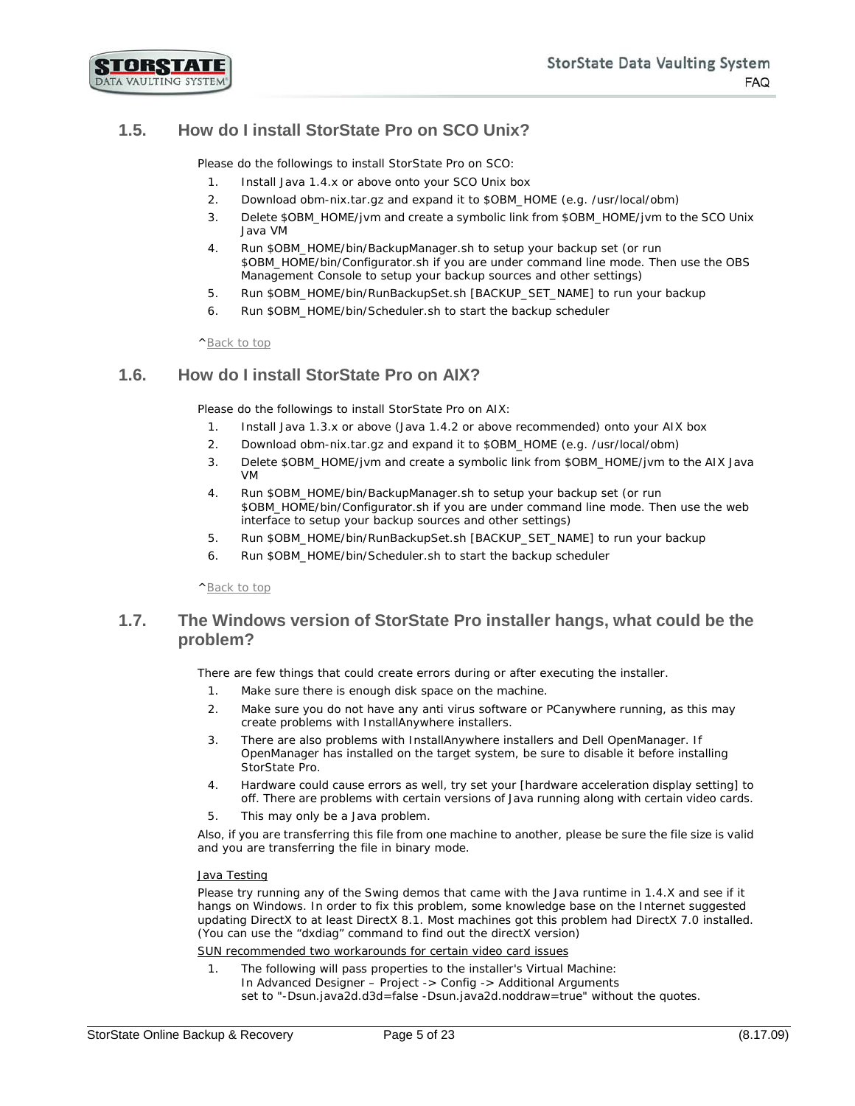STORSTATE DATA VAULTING SYSTEM

# <span id="page-4-0"></span>**1.5. How do I install StorState Pro on SCO Unix?**

Please do the followings to install StorState Pro on SCO:

- 1. Install Java 1.4.x or above onto your SCO Unix box
- 2. Download obm-nix.tar.gz and expand it to \$OBM\_HOME (e.g. /usr/local/obm)
- 3. Delete \$OBM\_HOME/jvm and create a symbolic link from \$OBM\_HOME/jvm to the SCO Unix Java VM
- 4. Run \$OBM\_HOME/bin/BackupManager.sh to setup your backup set (or run \$OBM\_HOME/bin/Configurator.sh if you are under command line mode. Then use the OBS Management Console to setup your backup sources and other settings)
- 5. Run \$OBM\_HOME/bin/RunBackupSet.sh [BACKUP\_SET\_NAME] to run your backup
- 6. Run \$OBM\_HOME/bin/Scheduler.sh to start the backup scheduler

#### [^Back to top](#page-0-0)

## <span id="page-4-1"></span>**1.6. How do I install StorState Pro on AIX?**

Please do the followings to install StorState Pro on AIX:

- 1. Install Java 1.3.x or above (Java 1.4.2 or above recommended) onto your AIX box
- 2. Download obm-nix.tar.gz and expand it to \$OBM\_HOME (e.g. /usr/local/obm)
- 3. Delete \$OBM\_HOME/jvm and create a symbolic link from \$OBM\_HOME/jvm to the AIX Java VM
- 4. Run \$OBM\_HOME/bin/BackupManager.sh to setup your backup set (or run \$OBM\_HOME/bin/Configurator.sh if you are under command line mode. Then use the web interface to setup your backup sources and other settings)
- 5. Run \$OBM\_HOME/bin/RunBackupSet.sh [BACKUP\_SET\_NAME] to run your backup
- 6. Run \$OBM\_HOME/bin/Scheduler.sh to start the backup scheduler

[^Back to top](#page-0-0)

#### <span id="page-4-2"></span>**1.7. The Windows version of StorState Pro installer hangs, what could be the problem?**

There are few things that could create errors during or after executing the installer.

- 1. Make sure there is enough disk space on the machine.
- 2. Make sure you do not have any anti virus software or PCanywhere running, as this may create problems with InstallAnywhere installers.
- 3. There are also problems with InstallAnywhere installers and Dell OpenManager. If OpenManager has installed on the target system, be sure to disable it before installing StorState Pro.
- 4. Hardware could cause errors as well, try set your [hardware acceleration display setting] to off. There are problems with certain versions of Java running along with certain video cards.
- 5. This may only be a Java problem.

Also, if you are transferring this file from one machine to another, please be sure the file size is valid and you are transferring the file in binary mode.

#### Java Testing

Please try running any of the Swing demos that came with the Java runtime in 1.4.X and see if it hangs on Windows. In order to fix this problem, some knowledge base on the Internet suggested updating DirectX to at least DirectX 8.1. Most machines got this problem had DirectX 7.0 installed. (You can use the "dxdiag" command to find out the directX version)

SUN recommended two workarounds for certain video card issues

1. The following will pass properties to the installer's Virtual Machine: In Advanced Designer – Project -> Config -> Additional Arguments set to "-Dsun.java2d.d3d=false -Dsun.java2d.noddraw=true" without the quotes.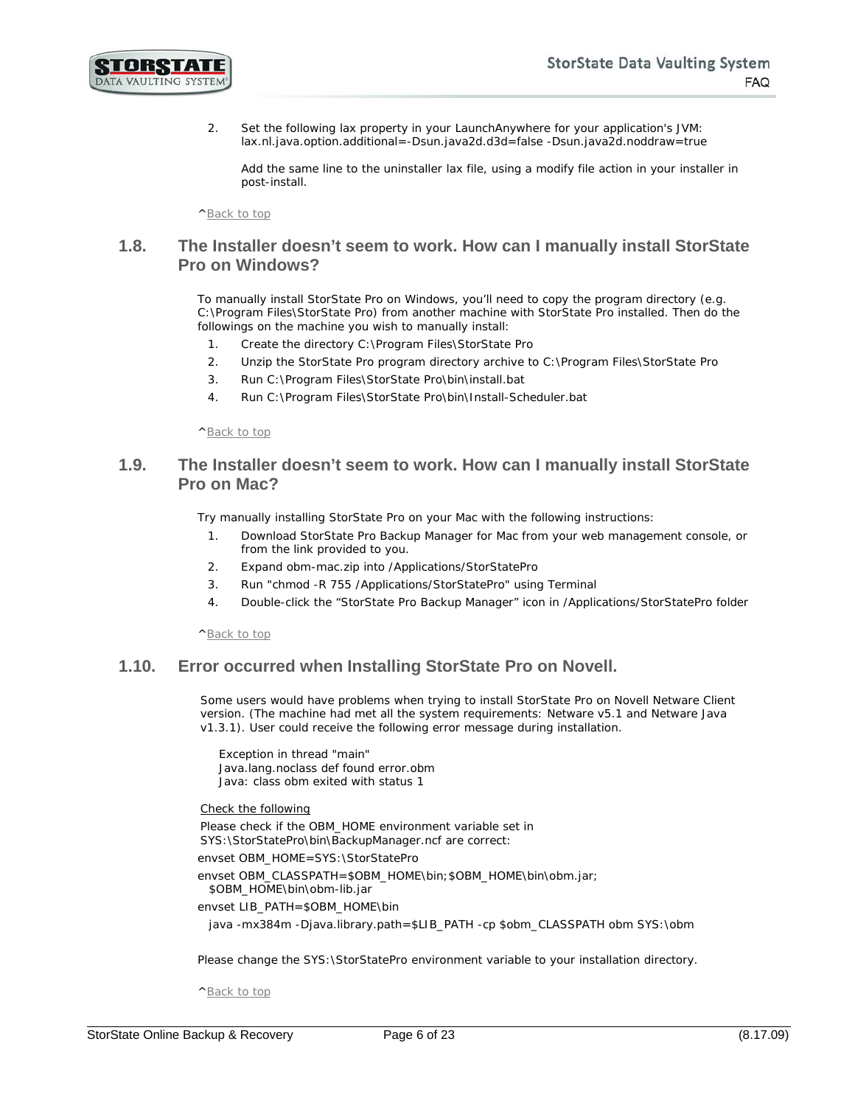

2. Set the following lax property in your LaunchAnywhere for your application's JVM: lax.nl.java.option.additional=-Dsun.java2d.d3d=false -Dsun.java2d.noddraw=true

Add the same line to the uninstaller lax file, using a modify file action in your installer in post-install.

[^Back to top](#page-0-0)

#### <span id="page-5-0"></span>**1.8. The Installer doesn't seem to work. How can I manually install StorState Pro on Windows?**

To manually install StorState Pro on Windows, you'll need to copy the program directory (e.g. C:\Program Files\StorState Pro) from another machine with StorState Pro installed. Then do the followings on the machine you wish to manually install:

- 1. Create the directory C:\Program Files\StorState Pro
- 2. Unzip the StorState Pro program directory archive to C:\Program Files\StorState Pro
- 3. Run C:\Program Files\StorState Pro\bin\install.bat
- 4. Run C:\Program Files\StorState Pro\bin\Install-Scheduler.bat

[^Back to top](#page-0-0)

## <span id="page-5-1"></span>**1.9. The Installer doesn't seem to work. How can I manually install StorState Pro on Mac?**

Try manually installing StorState Pro on your Mac with the following instructions:

- 1. Download StorState Pro Backup Manager for Mac from your web management console, or from the link provided to you.
- 2. Expand obm-mac.zip into /Applications/StorStatePro
- 3. Run "chmod -R 755 /Applications/StorStatePro" using Terminal
- 4. Double-click the "StorState Pro Backup Manager" icon in /Applications/StorStatePro folder

[^Back to top](#page-0-0)

#### <span id="page-5-2"></span>**1.10. Error occurred when Installing StorState Pro on Novell.**

Some users would have problems when trying to install StorState Pro on Novell Netware Client version. (The machine had met all the system requirements: Netware v5.1 and Netware Java v1.3.1). User could receive the following error message during installation.

Exception in thread "main" Java.lang.noclass def found error.obm Java: class obm exited with status 1

Check the following

Please check if the OBM\_HOME environment variable set in SYS:\StorStatePro\bin\BackupManager.ncf are correct:

envset OBM\_HOME=SYS:\StorStatePro

envset OBM\_CLASSPATH=\$OBM\_HOME\bin;\$OBM\_HOME\bin\obm.jar; \$OBM\_HOME\bin\obm-lib.jar

envset LIB\_PATH=\$OBM\_HOME\bin

java -mx384m -Djava.library.path=\$LIB\_PATH -cp \$obm\_CLASSPATH obm SYS:\obm

Please change the SYS: \StorStatePro environment variable to your installation directory.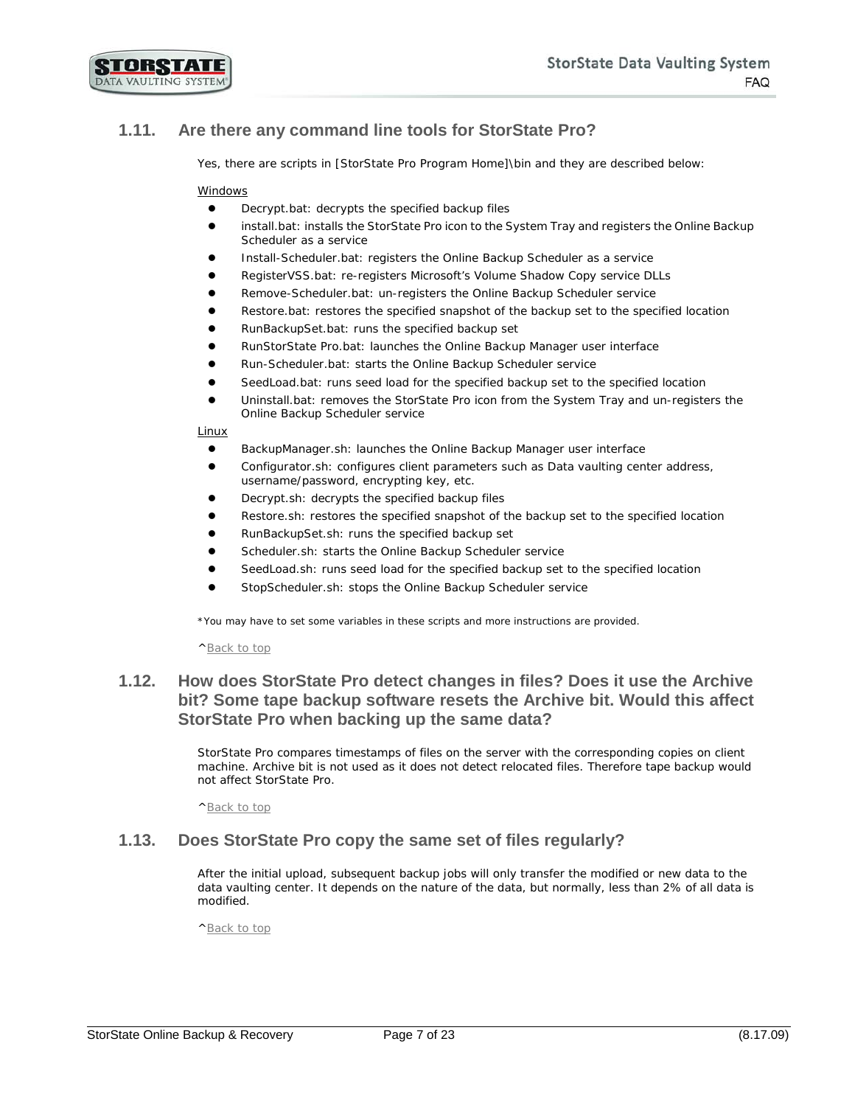

# <span id="page-6-0"></span>**1.11. Are there any command line tools for StorState Pro?**

Yes, there are scripts in [StorState Pro Program Home]\bin and they are described below:

#### Windows

- Decrypt.bat: decrypts the specified backup files
- install.bat: installs the StorState Pro icon to the System Tray and registers the Online Backup Scheduler as a service
- Install-Scheduler.bat: registers the Online Backup Scheduler as a service
- RegisterVSS.bat: re-registers Microsoft's Volume Shadow Copy service DLLs
- Remove-Scheduler.bat: un-registers the Online Backup Scheduler service
- Restore.bat: restores the specified snapshot of the backup set to the specified location
- RunBackupSet.bat: runs the specified backup set
- RunStorState Pro.bat: launches the Online Backup Manager user interface
- Run-Scheduler.bat: starts the Online Backup Scheduler service
- SeedLoad.bat: runs seed load for the specified backup set to the specified location
- Uninstall.bat: removes the StorState Pro icon from the System Tray and un-registers the Online Backup Scheduler service

**Linux** 

- BackupManager.sh: launches the Online Backup Manager user interface
- Configurator.sh: configures client parameters such as Data vaulting center address, username/password, encrypting key, etc.
- Decrypt.sh: decrypts the specified backup files
- Restore.sh: restores the specified snapshot of the backup set to the specified location
- RunBackupSet.sh: runs the specified backup set
- Scheduler.sh: starts the Online Backup Scheduler service
- SeedLoad.sh: runs seed load for the specified backup set to the specified location
- StopScheduler.sh: stops the Online Backup Scheduler service

*\*You may have to set some variables in these scripts and more instructions are provided.*

[^Back to top](#page-0-0)

#### <span id="page-6-1"></span>**1.12. How does StorState Pro detect changes in files? Does it use the Archive bit? Some tape backup software resets the Archive bit. Would this affect StorState Pro when backing up the same data?**

StorState Pro compares timestamps of files on the server with the corresponding copies on client machine. Archive bit is not used as it does not detect relocated files. Therefore tape backup would not affect StorState Pro.

[^Back to top](#page-0-0)

#### <span id="page-6-2"></span>**1.13. Does StorState Pro copy the same set of files regularly?**

After the initial upload, subsequent backup jobs will only transfer the modified or new data to the data vaulting center. It depends on the nature of the data, but normally, less than 2% of all data is modified.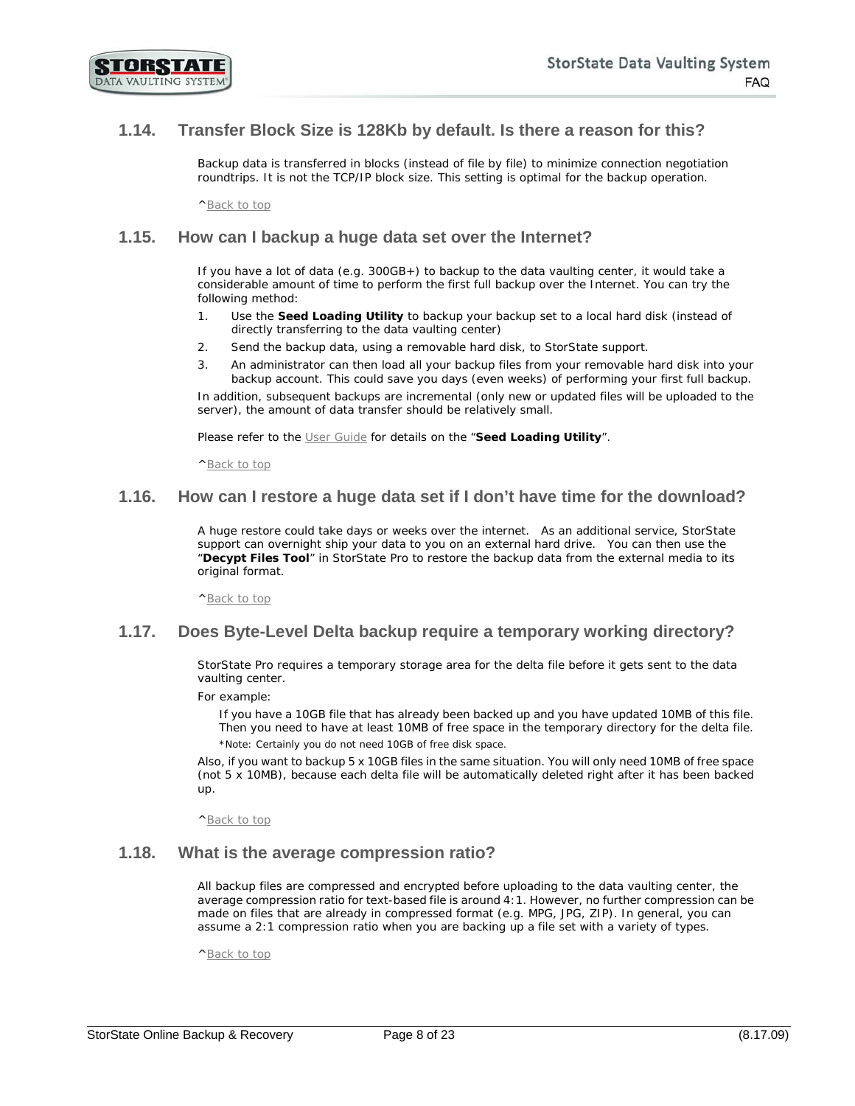

## <span id="page-7-0"></span>**1.14. Transfer Block Size is 128Kb by default. Is there a reason for this?**

Backup data is transferred in blocks (instead of file by file) to minimize connection negotiation roundtrips. It is not the TCP/IP block size. This setting is optimal for the backup operation.

[^Back to top](#page-0-0)

#### <span id="page-7-1"></span>**1.15. How can I backup a huge data set over the Internet?**

If you have a lot of data (e.g. 300GB+) to backup to the data vaulting center, it would take a considerable amount of time to perform the first full backup over the Internet. You can try the following method:

- 1. Use the **Seed Loading Utility** to backup your backup set to a local hard disk (instead of directly transferring to the data vaulting center)
- 2. Send the backup data, using a removable hard disk, to StorState support.
- 3. An administrator can then load all your backup files from your removable hard disk into your backup account. This could save you days (even weeks) of performing your first full backup.

In addition, subsequent backups are incremental (only new or updated files will be uploaded to the server), the amount of data transfer should be relatively small.

Please refer to the [User Guide](http://www.storstate.com/docs/storstate-userguide.pdf) for details on the "**Seed Loading Utility**".

[^Back to top](#page-0-0)

#### <span id="page-7-2"></span>**1.16. How can I restore a huge data set if I don't have time for the download?**

A huge restore could take days or weeks over the internet. As an additional service, StorState support can overnight ship your data to you on an external hard drive. You can then use the "**Decypt Files Tool**" in StorState Pro to restore the backup data from the external media to its original format.

[^Back to top](#page-0-0)

#### <span id="page-7-3"></span>**1.17. Does Byte-Level Delta backup require a temporary working directory?**

StorState Pro requires a temporary storage area for the delta file before it gets sent to the data vaulting center.

For example:

If you have a 10GB file that has already been backed up and you have updated 10MB of this file. Then you need to have at least 10MB of free space in the temporary directory for the delta file. *\*Note: Certainly you do not need 10GB of free disk space.* 

Also, if you want to backup 5 x 10GB files in the same situation. You will only need 10MB of free space (not 5 x 10MB), because each delta file will be automatically deleted right after it has been backed up.

[^Back to top](#page-0-0)

#### <span id="page-7-4"></span>**1.18. What is the average compression ratio?**

All backup files are compressed and encrypted before uploading to the data vaulting center, the average compression ratio for text-based file is around 4:1. However, no further compression can be made on files that are already in compressed format (e.g. MPG, JPG, ZIP). In general, you can assume a 2:1 compression ratio when you are backing up a file set with a variety of types.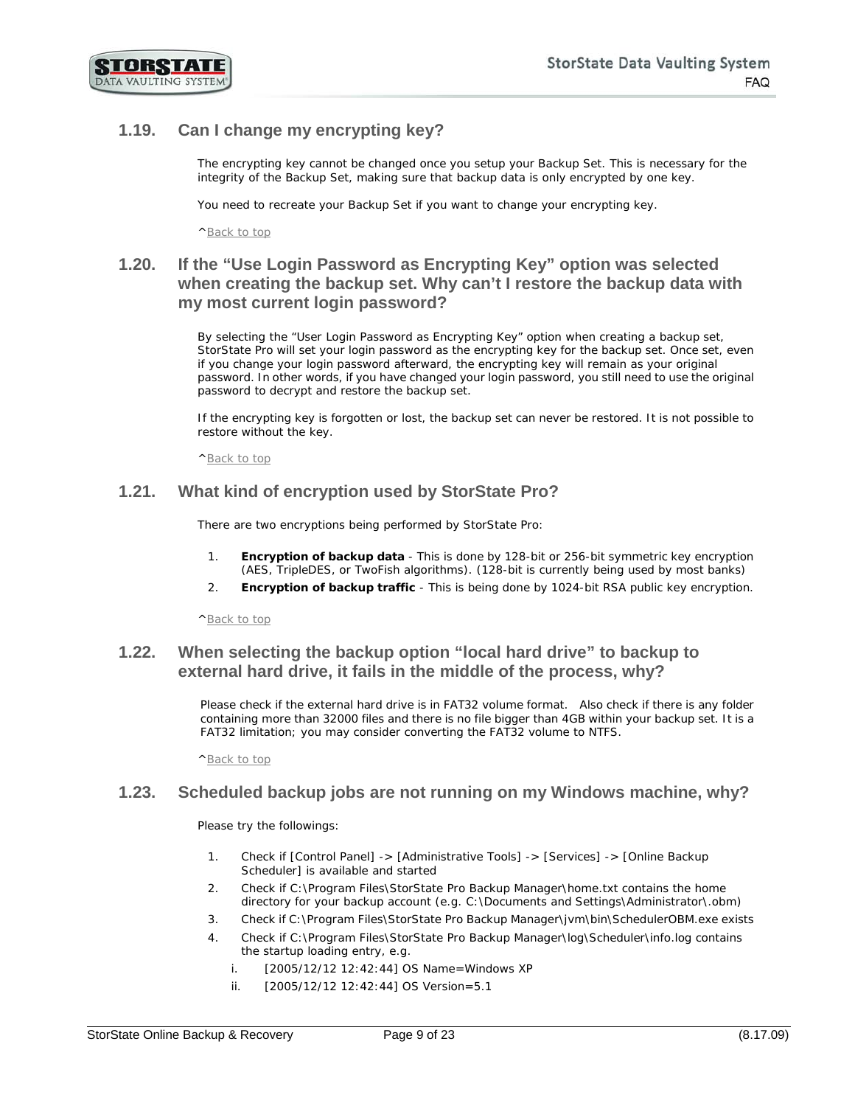

# <span id="page-8-0"></span>**1.19. Can I change my encrypting key?**

The encrypting key cannot be changed once you setup your Backup Set. This is necessary for the integrity of the Backup Set, making sure that backup data is only encrypted by one key.

You need to recreate your Backup Set if you want to change your encrypting key.

[^Back to top](#page-0-0)

# <span id="page-8-1"></span>**1.20. If the "Use Login Password as Encrypting Key" option was selected when creating the backup set. Why can't I restore the backup data with my most current login password?**

By selecting the "User Login Password as Encrypting Key" option when creating a backup set, StorState Pro will set your login password as the encrypting key for the backup set. Once set, even if you change your login password afterward, the encrypting key will remain as your original password. In other words, if you have changed your login password, you still need to use the original password to decrypt and restore the backup set.

If the encrypting key is forgotten or lost, the backup set can never be restored. It is not possible to restore without the key.

[^Back to top](#page-0-0)

#### <span id="page-8-2"></span>**1.21. What kind of encryption used by StorState Pro?**

There are two encryptions being performed by StorState Pro:

- 1. **Encryption of backup data** This is done by 128-bit or 256-bit symmetric key encryption (AES, TripleDES, or TwoFish algorithms). (128-bit is currently being used by most banks)
- 2. **Encryption of backup traffic** This is being done by 1024-bit RSA public key encryption.

[^Back to top](#page-0-0)

#### <span id="page-8-3"></span>**1.22. When selecting the backup option "local hard drive" to backup to external hard drive, it fails in the middle of the process, why?**

Please check if the external hard drive is in FAT32 volume format. Also check if there is any folder containing more than 32000 files and there is no file bigger than 4GB within your backup set. It is a FAT32 limitation; you may consider converting the FAT32 volume to NTFS.

[^Back to top](#page-0-0)

#### <span id="page-8-4"></span>**1.23. Scheduled backup jobs are not running on my Windows machine, why?**

Please try the followings:

- 1. Check if [Control Panel] -> [Administrative Tools] -> [Services] -> [Online Backup Scheduler] is available and started
- 2. Check if C:\Program Files\StorState Pro Backup Manager\home.txt contains the home directory for your backup account (e.g. C:\Documents and Settings\Administrator\.obm)
- 3. Check if C:\Program Files\StorState Pro Backup Manager\jvm\bin\SchedulerOBM.exe exists
- 4. Check if C:\Program Files\StorState Pro Backup Manager\log\Scheduler\info.log contains the startup loading entry, e.g.
	- i. [2005/12/12 12:42:44] OS Name=Windows XP
	- ii. [2005/12/12 12:42:44] OS Version=5.1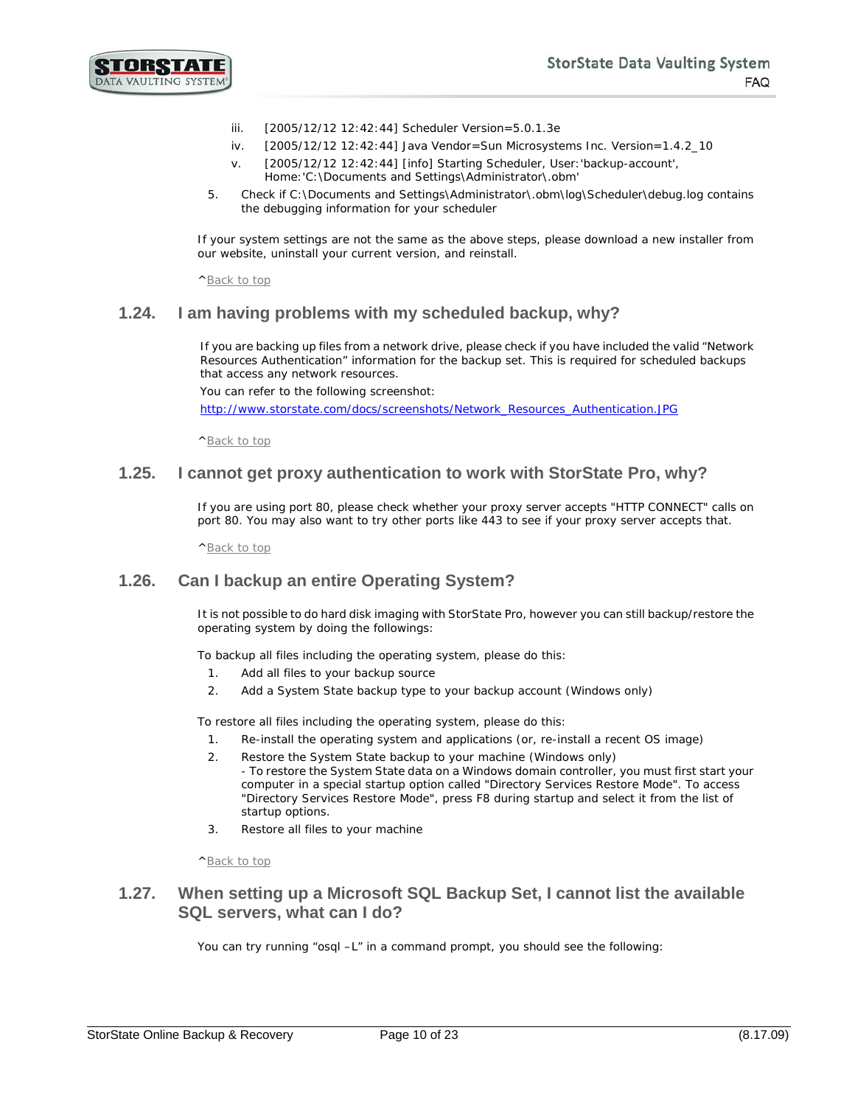- iii. [2005/12/12 12:42:44] Scheduler Version=5.0.1.3e
- iv. [2005/12/12 12:42:44] Java Vendor=Sun Microsystems Inc. Version=1.4.2\_10
- v. [2005/12/12 12:42:44] [info] Starting Scheduler, User:'backup-account', Home:'C:\Documents and Settings\Administrator\.obm'
- 5. Check if C:\Documents and Settings\Administrator\.obm\log\Scheduler\debug.log contains the debugging information for your scheduler

If your system settings are not the same as the above steps, please download a new installer from our website, uninstall your current version, and reinstall.

[^Back to top](#page-0-0)

#### <span id="page-9-0"></span>**1.24. I am having problems with my scheduled backup, why?**

If you are backing up files from a network drive, please check if you have included the valid "Network Resources Authentication" information for the backup set. This is required for scheduled backups that access any network resources.

You can refer to the following screenshot:

[http://www.storstate.com/docs/screenshots/Network\\_Resources\\_Authentication.JPG](http://www.storstate.com/docs/screenshots/Network_Resources_Authentication.JPG) 

[^Back to top](#page-0-0)

#### <span id="page-9-1"></span>**1.25. I cannot get proxy authentication to work with StorState Pro, why?**

If you are using port 80, please check whether your proxy server accepts "HTTP CONNECT" calls on port 80. You may also want to try other ports like 443 to see if your proxy server accepts that.

[^Back to top](#page-0-0)

#### <span id="page-9-2"></span>**1.26. Can I backup an entire Operating System?**

It is not possible to do hard disk imaging with StorState Pro, however you can still backup/restore the operating system by doing the followings:

To backup all files including the operating system, please do this:

- 1. Add all files to your backup source
- 2. Add a System State backup type to your backup account (Windows only)

To restore all files including the operating system, please do this:

- 1. Re-install the operating system and applications (or, re-install a recent OS image)
- 2. Restore the System State backup to your machine (Windows only) - To restore the System State data on a Windows domain controller, you must first start your computer in a special startup option called "Directory Services Restore Mode". To access "Directory Services Restore Mode", press F8 during startup and select it from the list of startup options.
- 3. Restore all files to your machine

[^Back to top](#page-0-0)

#### <span id="page-9-3"></span>**1.27. When setting up a Microsoft SQL Backup Set, I cannot list the available SQL servers, what can I do?**

You can try running "osql -L" in a command prompt, you should see the following: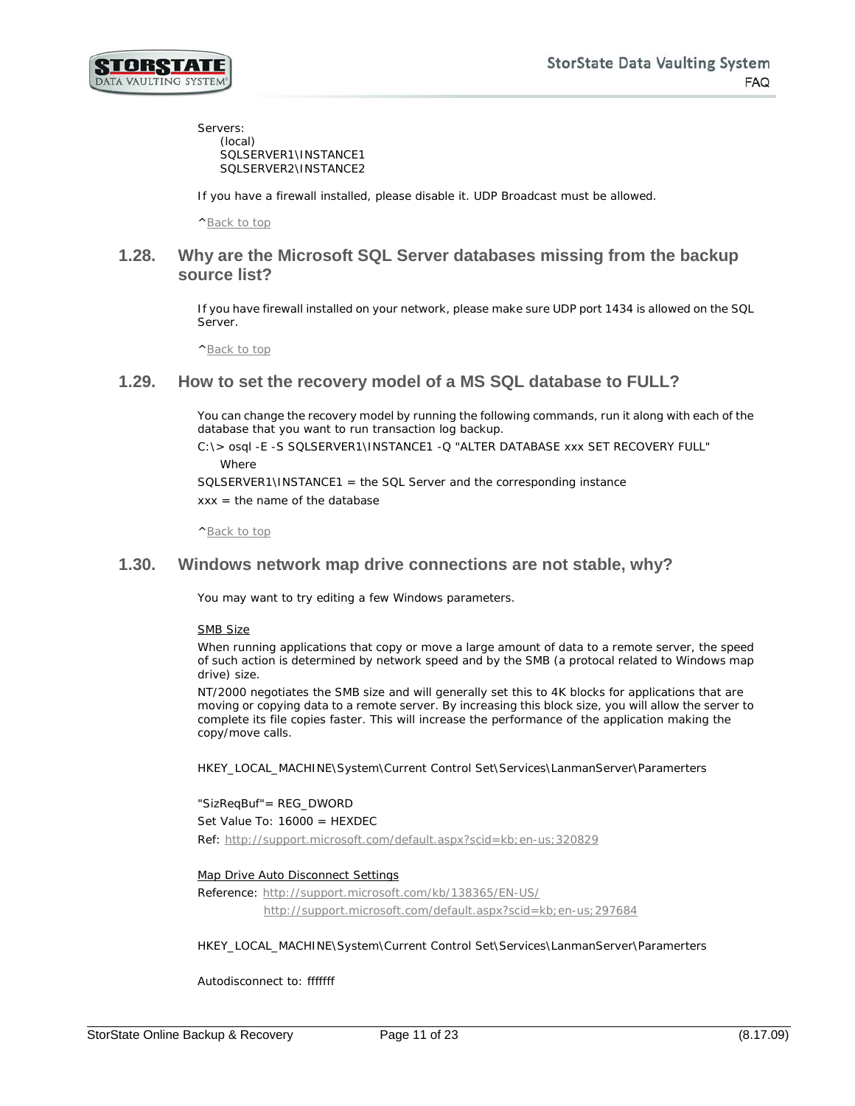

Servers: (local) SQLSERVER1\INSTANCE1 SQLSERVER2\INSTANCE2

If you have a firewall installed, please disable it. UDP Broadcast must be allowed.

[^Back to top](#page-0-0)

#### <span id="page-10-0"></span>**1.28. Why are the Microsoft SQL Server databases missing from the backup source list?**

If you have firewall installed on your network, please make sure UDP port 1434 is allowed on the SQL Server.

[^Back to top](#page-0-0)

#### <span id="page-10-1"></span>**1.29. How to set the recovery model of a MS SQL database to FULL?**

You can change the recovery model by running the following commands, run it along with each of the database that you want to run transaction log backup.

C:\> osql -E -S SQLSERVER1\INSTANCE1 -Q "ALTER DATABASE xxx SET RECOVERY FULL" **Where** 

SQLSERVER1\INSTANCE1 = the SQL Server and the corresponding instance  $xxx =$  the name of the database

[^Back to top](#page-0-0)

#### <span id="page-10-2"></span>**1.30. Windows network map drive connections are not stable, why?**

You may want to try editing a few Windows parameters.

SMB Size

When running applications that copy or move a large amount of data to a remote server, the speed of such action is determined by network speed and by the SMB (a protocal related to Windows map drive) size.

NT/2000 negotiates the SMB size and will generally set this to 4K blocks for applications that are moving or copying data to a remote server. By increasing this block size, you will allow the server to complete its file copies faster. This will increase the performance of the application making the copy/move calls.

HKEY\_LOCAL\_MACHINE\System\Current Control Set\Services\LanmanServer\Paramerters

"SizReqBuf"= REG\_DWORD Set Value To: 16000 = HEXDEC Ref:<http://support.microsoft.com/default.aspx?scid=kb;en-us;320829>

Map Drive Auto Disconnect Settings

Reference:<http://support.microsoft.com/kb/138365/EN-US/> <http://support.microsoft.com/default.aspx?scid=kb;en-us;297684>

HKEY\_LOCAL\_MACHINE\System\Current Control Set\Services\LanmanServer\Paramerters

Autodisconnect to: fffffff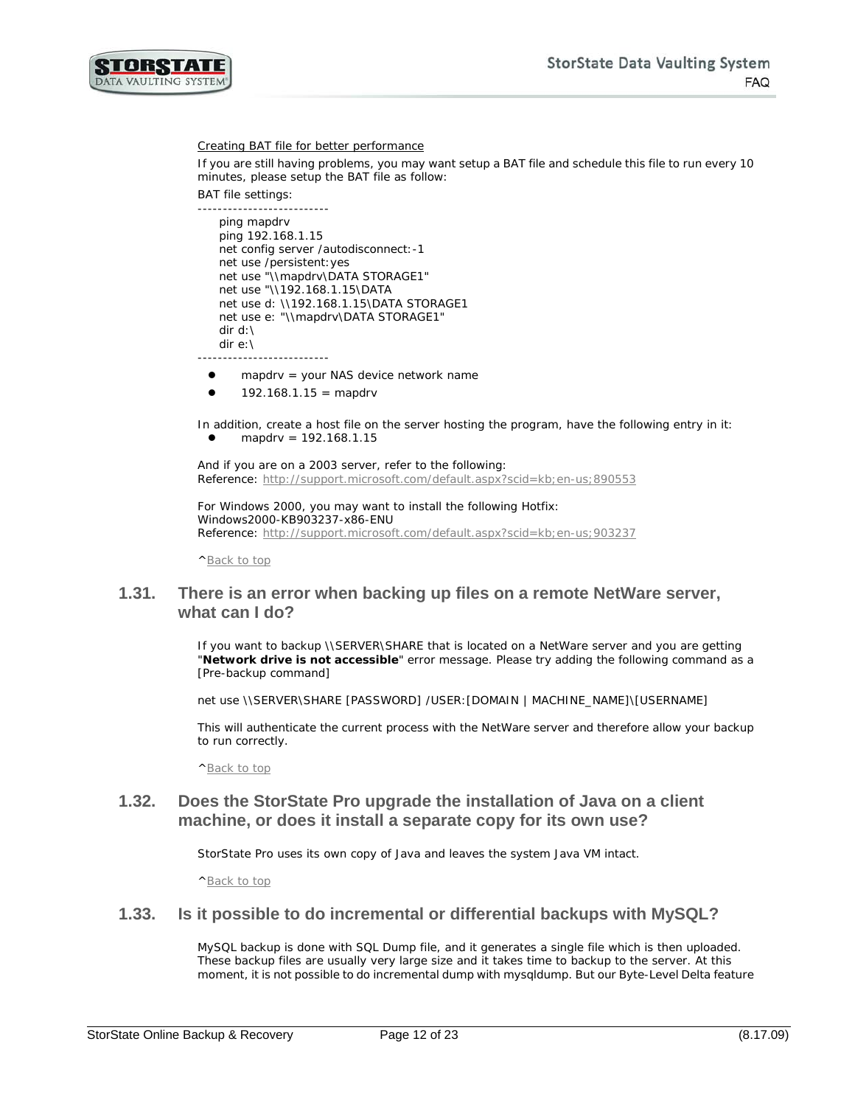

#### Creating BAT file for better performance

If you are still having problems, you may want setup a BAT file and schedule this file to run every 10 minutes, please setup the BAT file as follow:

BAT file settings:

```
--------------------------
   ping mapdrv
   ping 192.168.1.15
   net config server /autodisconnect:-1 
   net use /persistent:yes
   net use "\\mapdrv\DATA STORAGE1"
   net use "\\192.168.1.15\DATA
   net use d: \\192.168.1.15\DATA STORAGE1
   net use e: "\\mapdrv\DATA STORAGE1"
   dir d:\ 
   dir e:\ 
--------------------------
```
- mapdrv = your NAS device network name
- 192.168.1.15 = mapdrv

In addition, create a host file on the server hosting the program, have the following entry in it: mapdrv = 192.168.1.15

And if you are on a 2003 server, refer to the following: Reference:<http://support.microsoft.com/default.aspx?scid=kb;en-us;890553>

For Windows 2000, you may want to install the following Hotfix: Windows2000-KB903237-x86-ENU Reference: http://support.microsoft.com/default.aspx?scid=kb;en-us;903237

[^Back to top](#page-0-0)

#### <span id="page-11-0"></span>**1.31. There is an error when backing up files on a remote NetWare server, what can I do?**

If you want to backup \\SERVER\SHARE that is located on a NetWare server and you are getting "**Network drive is not accessible**" error message. Please try adding the following command as a [Pre-backup command]

net use \\SERVER\SHARE [PASSWORD] /USER:[DOMAIN | MACHINE\_NAME]\[USERNAME]

This will authenticate the current process with the NetWare server and therefore allow your backup to run correctly.

[^Back to top](#page-0-0)

#### <span id="page-11-1"></span>**1.32. Does the StorState Pro upgrade the installation of Java on a client machine, or does it install a separate copy for its own use?**

StorState Pro uses its own copy of Java and leaves the system Java VM intact.

[^Back to top](#page-0-0)

#### <span id="page-11-2"></span>**1.33. Is it possible to do incremental or differential backups with MySQL?**

MySQL backup is done with SQL Dump file, and it generates a single file which is then uploaded. These backup files are usually very large size and it takes time to backup to the server. At this moment, it is not possible to do incremental dump with mysqldump. But our Byte-Level Delta feature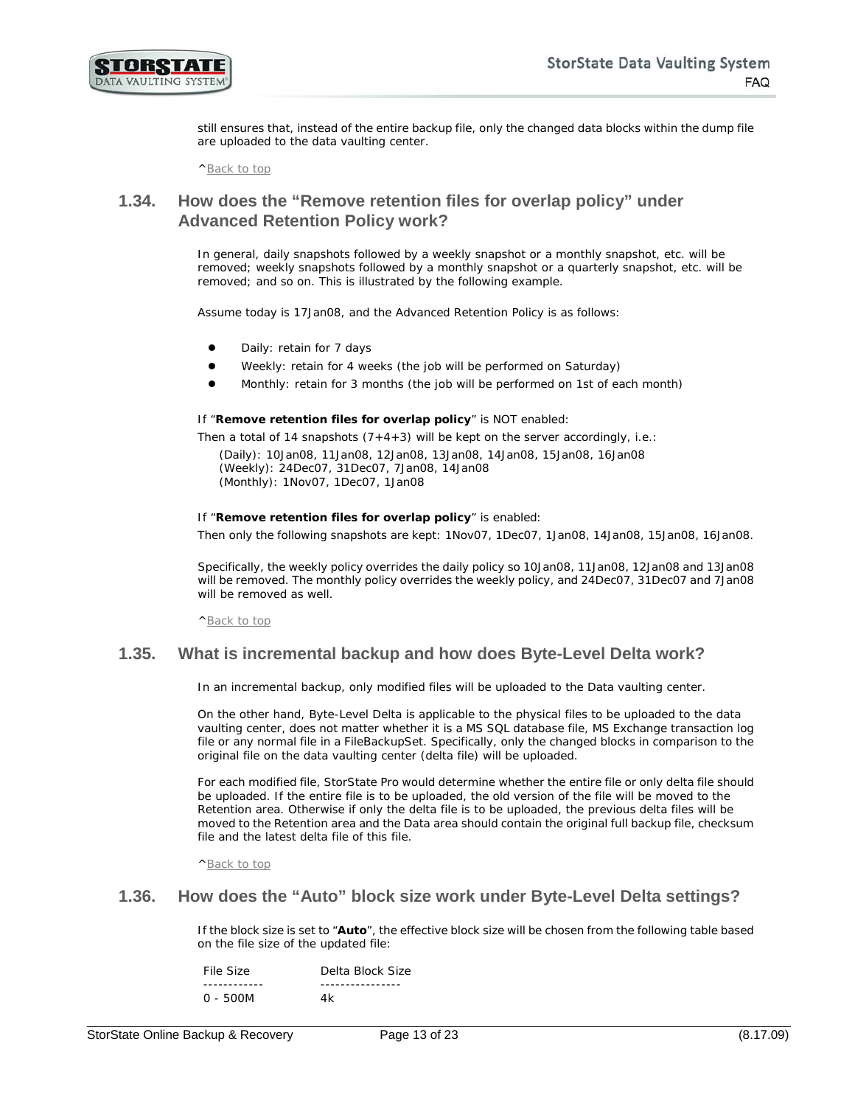

still ensures that, instead of the entire backup file, only the changed data blocks within the dump file are uploaded to the data vaulting center.

[^Back to top](#page-0-0)

#### <span id="page-12-0"></span>**1.34. How does the "Remove retention files for overlap policy" under Advanced Retention Policy work?**

In general, daily snapshots followed by a weekly snapshot or a monthly snapshot, etc. will be removed; weekly snapshots followed by a monthly snapshot or a quarterly snapshot, etc. will be removed; and so on. This is illustrated by the following example.

Assume today is 17Jan08, and the Advanced Retention Policy is as follows:

- Daily: retain for 7 days
- Weekly: retain for 4 weeks (the job will be performed on Saturday)
- Monthly: retain for 3 months (the job will be performed on 1st of each month)

If "**Remove retention files for overlap policy**" is NOT enabled:

Then a total of 14 snapshots  $(7+4+3)$  will be kept on the server accordingly, i.e.:

(*Daily*): 10Jan08, 11Jan08, 12Jan08, 13Jan08, 14Jan08, 15Jan08, 16Jan08 (*Weekly*): 24Dec07, 31Dec07, 7Jan08, 14Jan08 (*Monthly*): 1Nov07, 1Dec07, 1Jan08

#### If "**Remove retention files for overlap policy**" is enabled:

Then only the following snapshots are kept: 1Nov07, 1Dec07, 1Jan08, 14Jan08, 15Jan08, 16Jan08.

Specifically, the weekly policy overrides the daily policy so 10Jan08, 11Jan08, 12Jan08 and 13Jan08 will be removed. The monthly policy overrides the weekly policy, and 24Dec07, 31Dec07 and 7Jan08 will be removed as well.

[^Back to top](#page-0-0)

#### <span id="page-12-1"></span>**1.35. What is incremental backup and how does Byte-Level Delta work?**

In an incremental backup, only modified files will be uploaded to the Data vaulting center.

On the other hand, Byte-Level Delta is applicable to the physical files to be uploaded to the data vaulting center, does not matter whether it is a MS SQL database file, MS Exchange transaction log file or any normal file in a FileBackupSet. Specifically, only the changed blocks in comparison to the original file on the data vaulting center (delta file) will be uploaded.

For each modified file, StorState Pro would determine whether the entire file or only delta file should be uploaded. If the entire file is to be uploaded, the old version of the file will be moved to the Retention area. Otherwise if only the delta file is to be uploaded, the previous delta files will be moved to the Retention area and the Data area should contain the original full backup file, checksum file and the latest delta file of this file.

[^Back to top](#page-0-0)

#### <span id="page-12-2"></span>**1.36. How does the "Auto" block size work under Byte-Level Delta settings?**

If the block size is set to "**Auto**", the effective block size will be chosen from the following table based on the file size of the updated file:

| File Size | Delta Block Size |  |
|-----------|------------------|--|
|           |                  |  |
| 0 - 500M  | 4k               |  |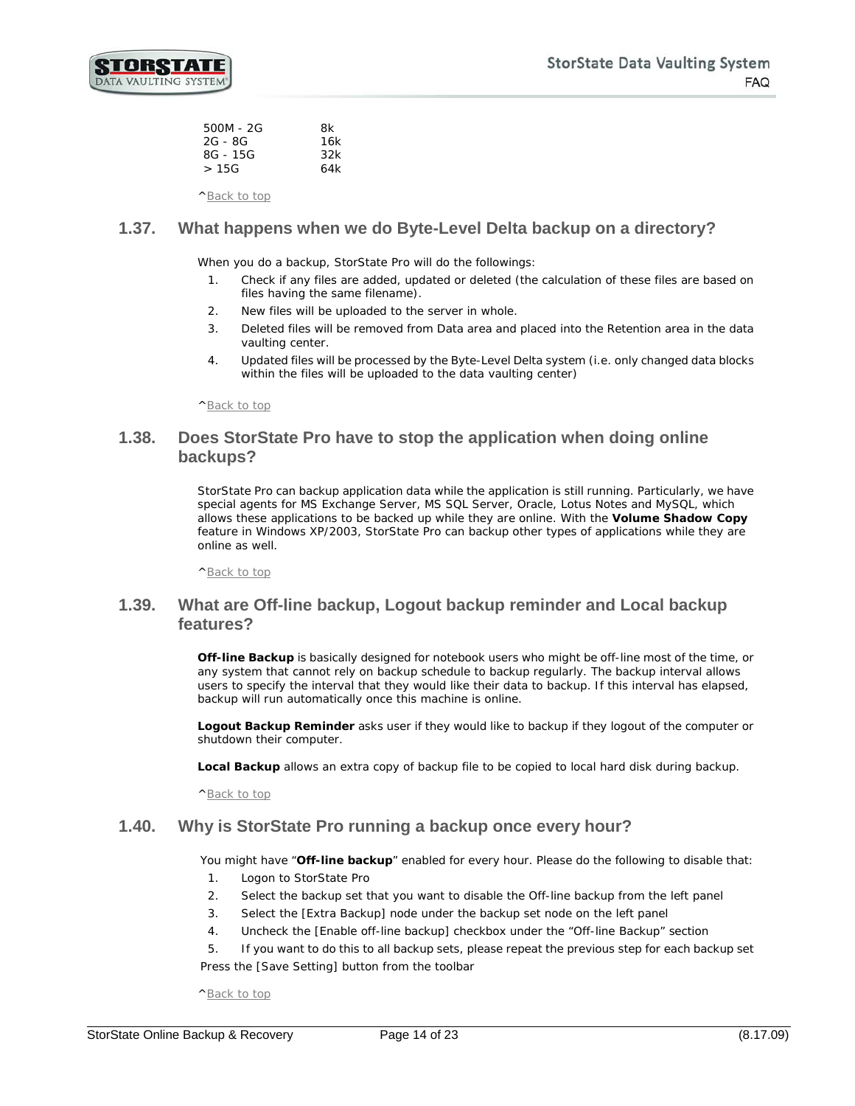| 500M - 2G | 8k  |
|-----------|-----|
| 2G - 8G   | 16k |
| 8G - 15G  | 32k |
| >15G      | 64k |
|           |     |

[^Back to top](#page-0-0)

# <span id="page-13-0"></span>**1.37. What happens when we do Byte-Level Delta backup on a directory?**

When you do a backup, StorState Pro will do the followings:

- 1. Check if any files are added, updated or deleted (the calculation of these files are based on files having the same filename).
- 2. New files will be uploaded to the server in whole.
- 3. Deleted files will be removed from Data area and placed into the Retention area in the data vaulting center.
- 4. Updated files will be processed by the Byte-Level Delta system (i.e. only changed data blocks within the files will be uploaded to the data vaulting center)

[^Back to top](#page-0-0)

#### <span id="page-13-1"></span>**1.38. Does StorState Pro have to stop the application when doing online backups?**

StorState Pro can backup application data while the application is still running. Particularly, we have special agents for MS Exchange Server, MS SQL Server, Oracle, Lotus Notes and MySQL, which allows these applications to be backed up while they are online. With the **Volume Shadow Copy** feature in Windows XP/2003, StorState Pro can backup other types of applications while they are online as well.

[^Back to top](#page-0-0)

## <span id="page-13-2"></span>**1.39. What are Off-line backup, Logout backup reminder and Local backup features?**

**Off-line Backup** is basically designed for notebook users who might be off-line most of the time, or any system that cannot rely on backup schedule to backup regularly. The backup interval allows users to specify the interval that they would like their data to backup. If this interval has elapsed, backup will run automatically once this machine is online.

**Logout Backup Reminder** asks user if they would like to backup if they logout of the computer or shutdown their computer.

**Local Backup** allows an extra copy of backup file to be copied to local hard disk during backup.

[^Back to top](#page-0-0)

#### <span id="page-13-3"></span>**1.40. Why is StorState Pro running a backup once every hour?**

You might have "**Off-line backup**" enabled for every hour. Please do the following to disable that:

- 1. Logon to StorState Pro
- 2. Select the backup set that you want to disable the *Off-line backup* from the left panel
- 3. Select the [Extra Backup] node under the backup set node on the left panel
- 4. Uncheck the [Enable off-line backup] checkbox under the "Off-line Backup" section

5. If you want to do this to all backup sets, please repeat the previous step for each backup set Press the [Save Setting] button from the toolbar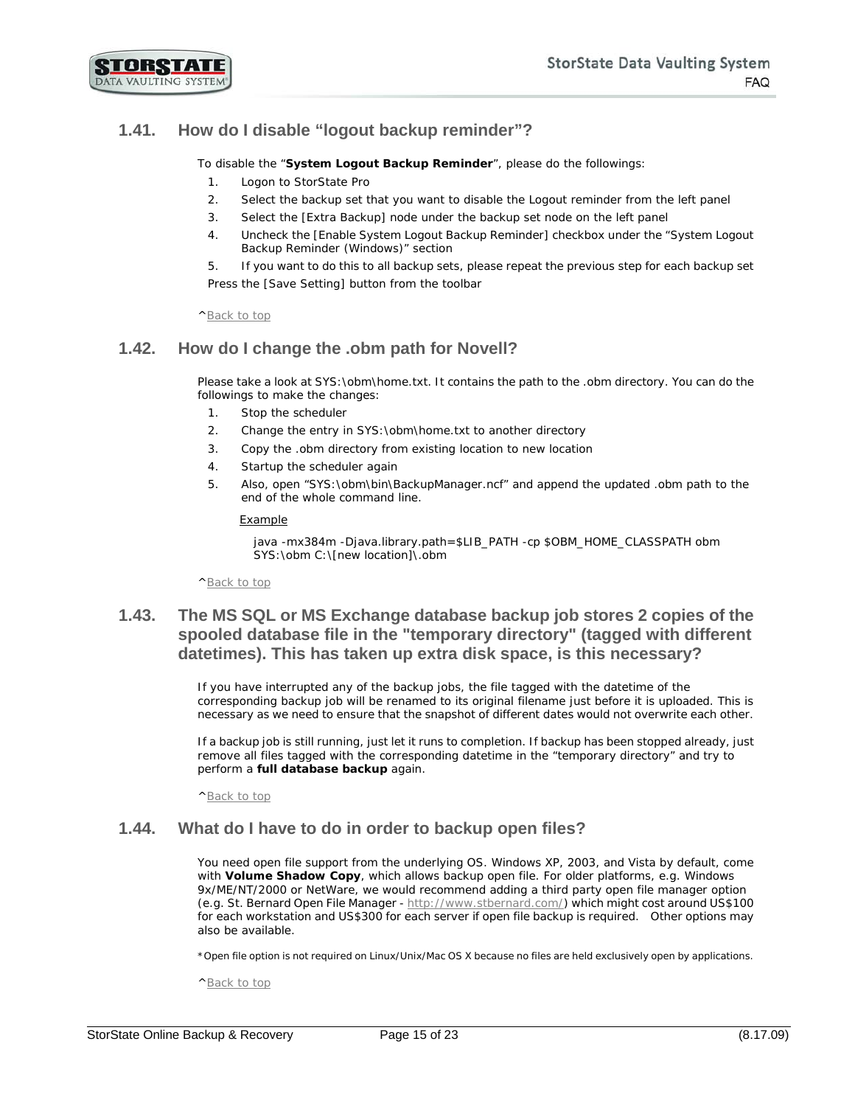

# <span id="page-14-0"></span>**1.41. How do I disable "logout backup reminder"?**

To disable the "**System Logout Backup Reminder**", please do the followings:

- 1. Logon to StorState Pro
- 2. Select the backup set that you want to disable the *Logout reminder* from the left panel
- 3. Select the [Extra Backup] node under the backup set node on the left panel
- 4. Uncheck the [Enable System Logout Backup Reminder] checkbox under the "System Logout Backup Reminder (Windows)" section

5. If you want to do this to all backup sets, please repeat the previous step for each backup set Press the [Save Setting] button from the toolbar

[^Back to top](#page-0-0)

## <span id="page-14-1"></span>**1.42. How do I change the .obm path for Novell?**

Please take a look at SYS:\obm\home.txt. It contains the path to the .obm directory. You can do the followings to make the changes:

- 1. Stop the scheduler
- 2. Change the entry in SYS:\obm\home.txt to another directory
- 3. Copy the .obm directory from existing location to new location
- 4. Startup the scheduler again
- 5. Also, open "SYS:\obm\bin\BackupManager.ncf" and append the updated .obm path to the end of the whole command line.

#### Example

java -mx384m -Djava.library.path=\$LIB\_PATH -cp \$OBM\_HOME\_CLASSPATH obm SYS:\obm C:\[new location]\.obm

[^Back to top](#page-0-0)

## <span id="page-14-2"></span>**1.43. The MS SQL or MS Exchange database backup job stores 2 copies of the spooled database file in the "temporary directory" (tagged with different datetimes). This has taken up extra disk space, is this necessary?**

If you have interrupted any of the backup jobs, the file tagged with the datetime of the corresponding backup job will be renamed to its original filename just before it is uploaded. This is necessary as we need to ensure that the snapshot of different dates would not overwrite each other.

If a backup job is still running, just let it runs to completion. If backup has been stopped already, just remove all files tagged with the corresponding datetime in the "temporary directory" and try to perform a **full database backup** again.

[^Back to top](#page-0-0)

#### <span id="page-14-3"></span>**1.44. What do I have to do in order to backup open files?**

You need open file support from the underlying OS. Windows XP, 2003, and Vista by default, come with **Volume Shadow Copy**, which allows backup open file. For older platforms, e.g. Windows 9x/ME/NT/2000 or NetWare, we would recommend adding a third party open file manager option (e.g. St. Bernard Open File Manager - [http://www.stbernard.com/\)](http://www.stbernard.com/) which might cost around US\$100 for each workstation and US\$300 for each server if open file backup is required. Other options may also be available.

*\*Open file option is not required on Linux/Unix/Mac OS X because no files are held exclusively open by applications.*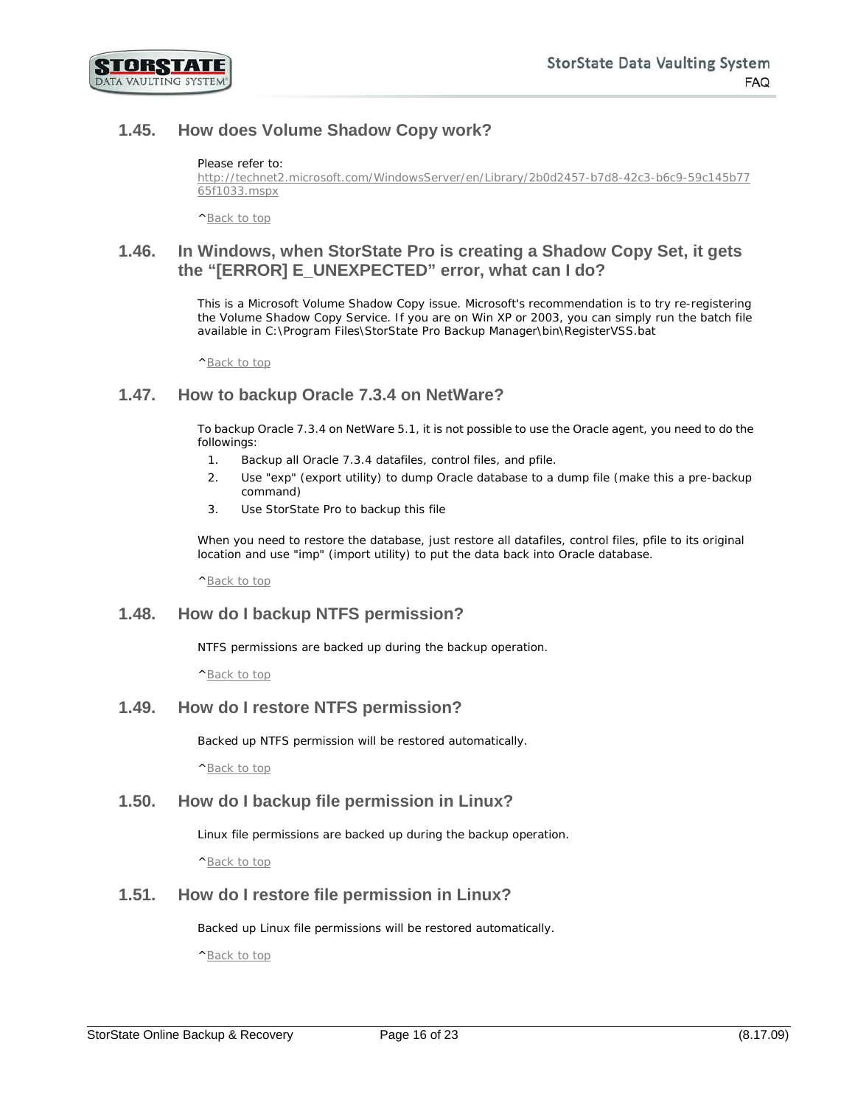

# <span id="page-15-0"></span>**1.45. How does Volume Shadow Copy work?**

#### Please refer to:

[http://technet2.microsoft.com/WindowsServer/en/Library/2b0d2457-b7d8-42c3-b6c9-59c145b77](http://technet2.microsoft.com/WindowsServer/en/Library/2b0d2457-b7d8-42c3-b6c9-59c145b7765f1033.mspx) [65f1033.mspx](http://technet2.microsoft.com/WindowsServer/en/Library/2b0d2457-b7d8-42c3-b6c9-59c145b7765f1033.mspx) 

[^Back to top](#page-0-0)

#### <span id="page-15-1"></span>**1.46. In Windows, when StorState Pro is creating a Shadow Copy Set, it gets the "[ERROR] E\_UNEXPECTED" error, what can I do?**

This is a Microsoft Volume Shadow Copy issue. Microsoft's recommendation is to try re-registering the Volume Shadow Copy Service. If you are on Win XP or 2003, you can simply run the batch file available in C:\Program Files\StorState Pro Backup Manager\bin\RegisterVSS.bat

[^Back to top](#page-0-0)

#### <span id="page-15-2"></span>**1.47. How to backup Oracle 7.3.4 on NetWare?**

To backup Oracle 7.3.4 on NetWare 5.1, it is not possible to use the Oracle agent, you need to do the followings:

- 1. Backup all Oracle 7.3.4 datafiles, control files, and pfile.
- 2. Use "exp" (export utility) to dump Oracle database to a dump file (make this a pre-backup command)
- 3. Use StorState Pro to backup this file

When you need to restore the database, just restore all datafiles, control files, pfile to its original location and use "imp" (import utility) to put the data back into Oracle database.

[^Back to top](#page-0-0)

#### <span id="page-15-3"></span>**1.48. How do I backup NTFS permission?**

NTFS permissions are backed up during the backup operation.

[^Back to top](#page-0-0)

#### <span id="page-15-4"></span>**1.49. How do I restore NTFS permission?**

Backed up NTFS permission will be restored automatically.

[^Back to top](#page-0-0)

#### <span id="page-15-5"></span>**1.50. How do I backup file permission in Linux?**

Linux file permissions are backed up during the backup operation.

[^Back to top](#page-0-0)

#### <span id="page-15-6"></span>**1.51. How do I restore file permission in Linux?**

Backed up Linux file permissions will be restored automatically.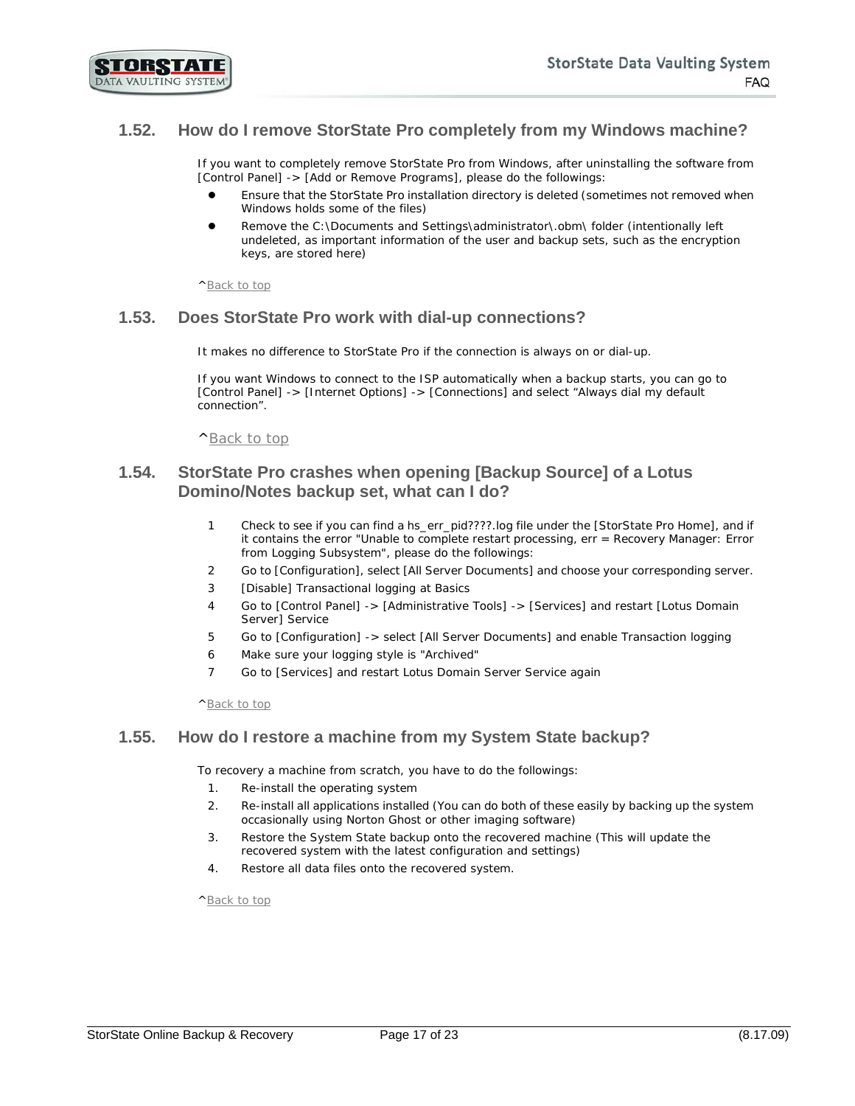## <span id="page-16-0"></span>**1.52. How do I remove StorState Pro completely from my Windows machine?**

If you want to completely remove StorState Pro from Windows, after uninstalling the software from [Control Panel] -> [Add or Remove Programs], please do the followings:

- Ensure that the StorState Pro installation directory is deleted (sometimes not removed when Windows holds some of the files)
- Remove the C:\Documents and Settings\administrator\.obm\ folder (intentionally left undeleted, as important information of the user and backup sets, such as the encryption keys, are stored here)

[^Back to top](#page-0-0)

#### <span id="page-16-1"></span>**1.53. Does StorState Pro work with dial-up connections?**

It makes no difference to StorState Pro if the connection is always on or dial-up.

If you want Windows to connect to the ISP automatically when a backup starts, you can go to [Control Panel] -> [Internet Options] -> [Connections] and select "Always dial my default connection".

[^Back to top](#page-0-0)

#### <span id="page-16-2"></span>**1.54. StorState Pro crashes when opening [Backup Source] of a Lotus Domino/Notes backup set, what can I do?**

- 1 Check to see if you can find a hs\_err\_pid????.log file under the [StorState Pro Home], and if it contains the error "Unable to complete restart processing, err = Recovery Manager: Error from Logging Subsystem", please do the followings:
- 2 Go to [Configuration], select [All Server Documents] and choose your corresponding server.
- 3 [Disable] Transactional logging at Basics
- 4 Go to [Control Panel] -> [Administrative Tools] -> [Services] and restart [Lotus Domain Server] Service
- 5 Go to [Configuration] -> select [All Server Documents] and enable Transaction logging
- 6 Make sure your logging style is "Archived"
- 7 Go to [Services] and restart Lotus Domain Server Service again

[^Back to top](#page-0-0)

#### <span id="page-16-3"></span>**1.55. How do I restore a machine from my System State backup?**

To recovery a machine from scratch, you have to do the followings:

- 1. Re-install the operating system
- 2. Re-install all applications installed (You can do both of these easily by backing up the system occasionally using Norton Ghost or other imaging software)
- 3. Restore the System State backup onto the recovered machine (This will update the recovered system with the latest configuration and settings)
- 4. Restore all data files onto the recovered system.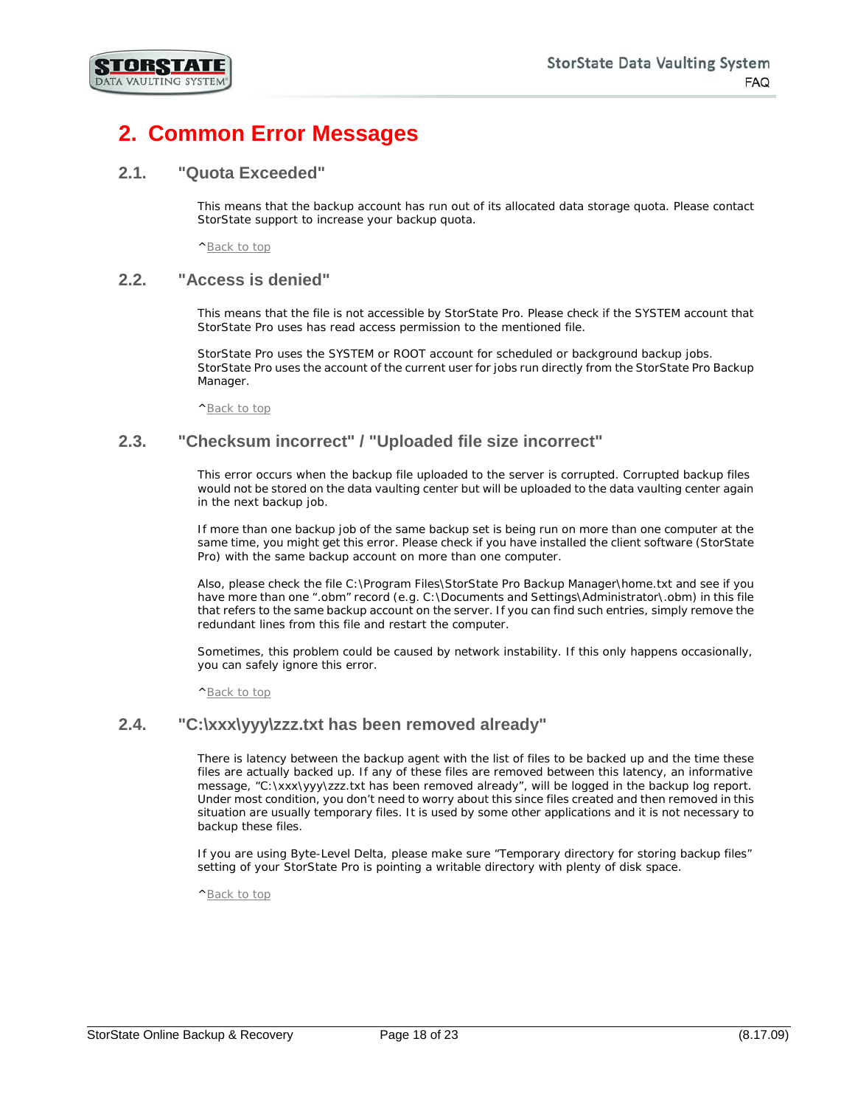

# <span id="page-17-0"></span>**2. Common Error Messages**

#### <span id="page-17-1"></span>**2.1. "Quota Exceeded"**

This means that the backup account has run out of its allocated data storage quota. Please contact StorState support to increase your backup quota.

[^Back to top](#page-0-0)

#### <span id="page-17-2"></span>**2.2. "Access is denied"**

This means that the file is not accessible by StorState Pro. Please check if the SYSTEM account that StorState Pro uses has read access permission to the mentioned file.

StorState Pro uses the SYSTEM or ROOT account for scheduled or background backup jobs. StorState Pro uses the account of the current user for jobs run directly from the StorState Pro Backup Manager.

[^Back to top](#page-0-0)

## <span id="page-17-3"></span>**2.3. "Checksum incorrect" / "Uploaded file size incorrect"**

This error occurs when the backup file uploaded to the server is corrupted. Corrupted backup files would not be stored on the data vaulting center but will be uploaded to the data vaulting center again in the next backup job.

If more than one backup job of the same backup set is being run on more than one computer at the same time, you might get this error. Please check if you have installed the client software (StorState Pro) with the same backup account on more than one computer.

Also, please check the file C:\Program Files\StorState Pro Backup Manager\home.txt and see if you have more than one ".obm" record (e.g. C:\Documents and Settings\Administrator\.obm) in this file that refers to the same backup account on the server. If you can find such entries, simply remove the redundant lines from this file and restart the computer.

Sometimes, this problem could be caused by network instability. If this only happens occasionally, you can safely ignore this error.

[^Back to top](#page-0-0)

#### <span id="page-17-4"></span>**2.4. "C:\xxx\yyy\zzz.txt has been removed already"**

There is latency between the backup agent with the list of files to be backed up and the time these files are actually backed up. If any of these files are removed between this latency, an informative message, "C:\xxx\yyy\zzz.txt has been removed already", will be logged in the backup log report. Under most condition, you don't need to worry about this since files created and then removed in this situation are usually temporary files. It is used by some other applications and it is not necessary to backup these files.

If you are using Byte-Level Delta, please make sure "Temporary directory for storing backup files" setting of your StorState Pro is pointing a writable directory with plenty of disk space.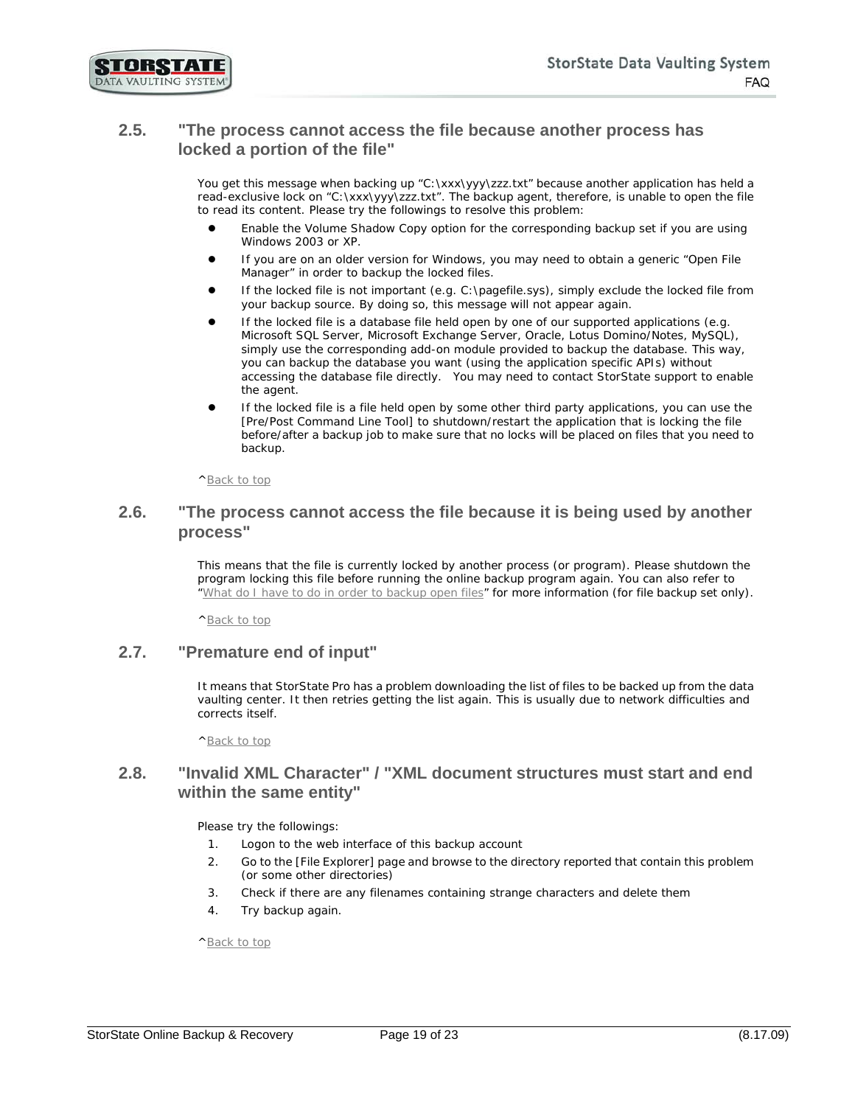

#### <span id="page-18-0"></span>**2.5. "The process cannot access the file because another process has locked a portion of the file"**

You get this message when backing up "C:\xxx\yyy\zzz.txt" because another application has held a read-exclusive lock on "C:\xxx\yyy\zzz.txt". The backup agent, therefore, is unable to open the file to read its content. Please try the followings to resolve this problem:

- Enable the Volume Shadow Copy option for the corresponding backup set if you are using Windows 2003 or XP.
- If you are on an older version for Windows, you may need to obtain a generic "Open File Manager" in order to backup the locked files.
- If the locked file is not important (e.g. C:\pagefile.sys), simply exclude the locked file from your backup source. By doing so, this message will not appear again.
- If the locked file is a database file held open by one of our supported applications (e.g. Microsoft SQL Server, Microsoft Exchange Server, Oracle, Lotus Domino/Notes, MySQL), simply use the corresponding add-on module provided to backup the database. This way, you can backup the database you want (using the application specific APIs) without accessing the database file directly. You may need to contact StorState support to enable the agent.
- If the locked file is a file held open by some other third party applications, you can use the [Pre/Post Command Line Tool] to shutdown/restart the application that is locking the file before/after a backup job to make sure that no locks will be placed on files that you need to backup.

[^Back to top](#page-0-0)

#### <span id="page-18-1"></span>**2.6. "The process cannot access the file because it is being used by another process"**

This means that the file is currently locked by another process (or program). Please shutdown the program locking this file before running the online backup program again. You can also refer to ["What do I have to do in order to backup open files"](#page-14-3) for more information (for file backup set only).

[^Back to top](#page-0-0)

#### <span id="page-18-2"></span>**2.7. "Premature end of input"**

It means that StorState Pro has a problem downloading the list of files to be backed up from the data vaulting center. It then retries getting the list again. This is usually due to network difficulties and corrects itself.

[^Back to top](#page-0-0)

#### <span id="page-18-3"></span>**2.8. "Invalid XML Character" / "XML document structures must start and end within the same entity"**

Please try the followings:

- 1. Logon to the web interface of this backup account
- 2. Go to the [File Explorer] page and browse to the directory reported that contain this problem (or some other directories)
- 3. Check if there are any filenames containing strange characters and delete them
- 4. Try backup again.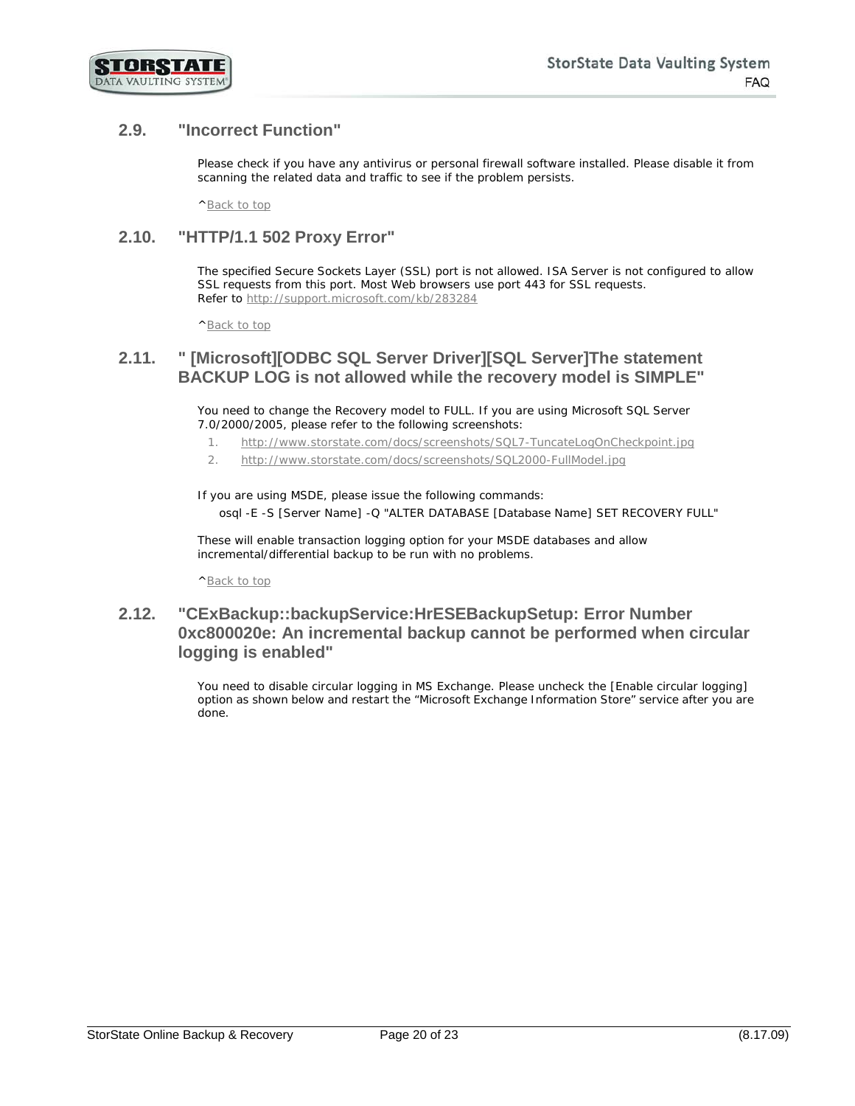

# <span id="page-19-0"></span>**2.9. "Incorrect Function"**

Please check if you have any antivirus or personal firewall software installed. Please disable it from scanning the related data and traffic to see if the problem persists.

[^Back to top](#page-0-0)

## <span id="page-19-1"></span>**2.10. "HTTP/1.1 502 Proxy Error"**

The specified Secure Sockets Layer (SSL) port is not allowed. ISA Server is not configured to allow SSL requests from this port. Most Web browsers use port 443 for SSL requests. Refer to<http://support.microsoft.com/kb/283284>

[^Back to top](#page-0-0)

#### <span id="page-19-2"></span>**2.11. " [Microsoft][ODBC SQL Server Driver][SQL Server]The statement BACKUP LOG is not allowed while the recovery model is SIMPLE"**

You need to change the Recovery model to FULL. If you are using Microsoft SQL Server 7.0/2000/2005, please refer to the following screenshots:

- 1. <http://www.storstate.com/docs/screenshots/SQL7-TuncateLogOnCheckpoint.jpg>
- 2. <http://www.storstate.com/docs/screenshots/SQL2000-FullModel.jpg>

If you are using MSDE, please issue the following commands: osql -E -S [Server Name] -Q "ALTER DATABASE [Database Name] SET RECOVERY FULL"

These will enable transaction logging option for your MSDE databases and allow incremental/differential backup to be run with no problems.

[^Back to top](#page-0-0)

## <span id="page-19-3"></span>**2.12. "CExBackup::backupService:HrESEBackupSetup: Error Number 0xc800020e: An incremental backup cannot be performed when circular logging is enabled"**

You need to disable circular logging in MS Exchange. Please uncheck the [Enable circular logging] option as shown below and restart the "Microsoft Exchange Information Store" service after you are done.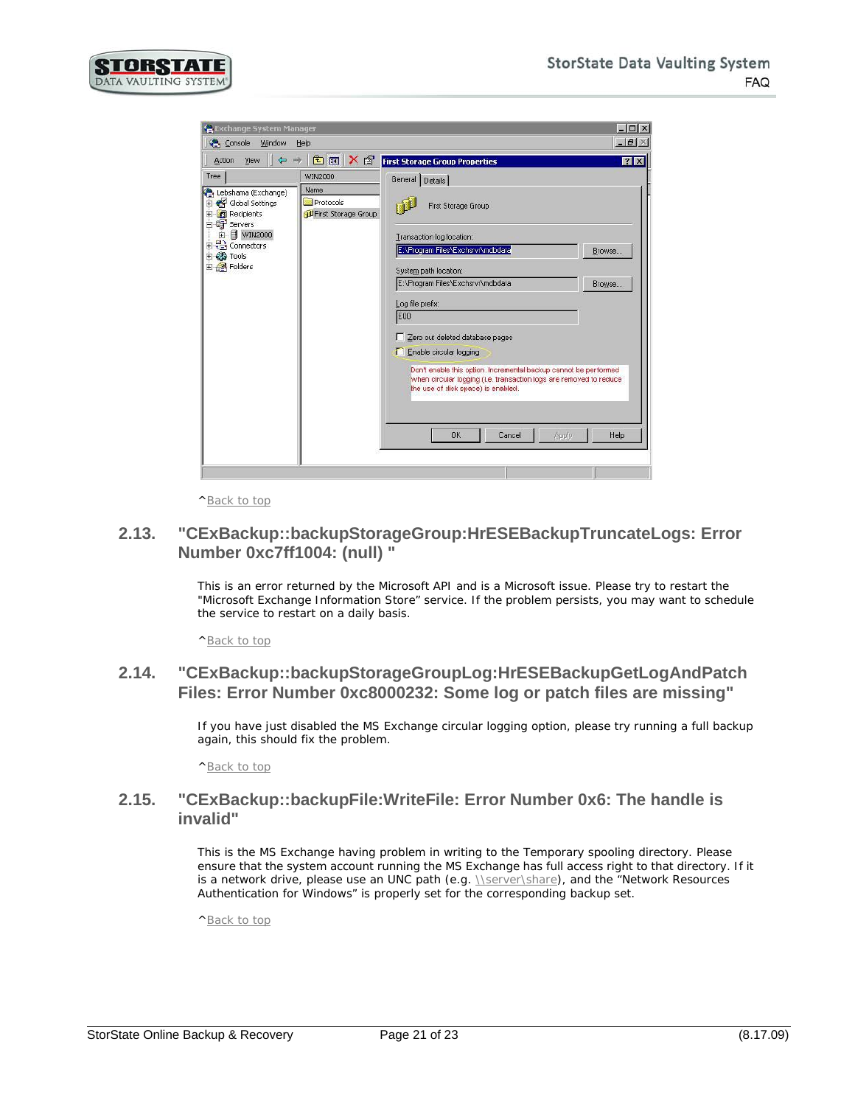

| <b>C</b> Exchange System Manager                                                                                                                                                           |                                                     |                                                                                                                                                                                                                                                                                                                                                                                                                                                                                                    | $ \Box$ $\times$         |
|--------------------------------------------------------------------------------------------------------------------------------------------------------------------------------------------|-----------------------------------------------------|----------------------------------------------------------------------------------------------------------------------------------------------------------------------------------------------------------------------------------------------------------------------------------------------------------------------------------------------------------------------------------------------------------------------------------------------------------------------------------------------------|--------------------------|
| Window<br>Console                                                                                                                                                                          | Help                                                |                                                                                                                                                                                                                                                                                                                                                                                                                                                                                                    | $ B$ $\times$            |
| $\Leftrightarrow$<br>View<br>Action<br>mb.                                                                                                                                                 | <b>de</b> x f                                       | <b>First Storage Group Properties</b>                                                                                                                                                                                                                                                                                                                                                                                                                                                              | 7x                       |
| Tree<br>Lebshama (Exchange)<br>Global Settings<br>Recipients<br>田<br>白母 Servers<br>$\blacksquare$ WIN2000<br>由<br><b>REA</b> Connectors<br>$\overline{+}$<br><b>El Cools</b><br>El Folders | WIN2000<br>Name<br>Protocols<br>First Storage Group | General Details<br>First Storage Group<br>Transaction log location:<br>E:\Program Files\Exchsrvr\mdbdata<br>System path location:<br>E:\Program Files\Exchsrvr\mdbdata<br>Log file prefix:<br><b>E00</b><br>Zero out deleted database pages<br>Enable circular logging<br>г<br>Don't enable this option, Incremental backup cannot be performed<br>when circular logging (i.e. transaction logs are removed to reduce<br>the use of disk space) is enabled.<br><b>OK</b><br>Cancel<br><b>Apply</b> | Browse<br>Browse<br>Help |
|                                                                                                                                                                                            |                                                     |                                                                                                                                                                                                                                                                                                                                                                                                                                                                                                    |                          |

[^Back to top](#page-0-0)

#### <span id="page-20-0"></span>**2.13. "CExBackup::backupStorageGroup:HrESEBackupTruncateLogs: Error Number 0xc7ff1004: (null) "**

This is an error returned by the Microsoft API and is a Microsoft issue. Please try to restart the "Microsoft Exchange Information Store" service. If the problem persists, you may want to schedule the service to restart on a daily basis.

[^Back to top](#page-0-0)

## <span id="page-20-1"></span>**2.14. "CExBackup::backupStorageGroupLog:HrESEBackupGetLogAndPatch Files: Error Number 0xc8000232: Some log or patch files are missing"**

If you have just disabled the MS Exchange circular logging option, please try running a full backup again, this should fix the problem.

[^Back to top](#page-0-0)

#### <span id="page-20-2"></span>**2.15. "CExBackup::backupFile:WriteFile: Error Number 0x6: The handle is invalid"**

This is the MS Exchange having problem in writing to the Temporary spooling directory. Please ensure that the system account running the MS Exchange has full access right to that directory. If it is a network drive, please use an UNC path (e.g. *\\server\share)*, and the "Network Resources Authentication for Windows" is properly set for the corresponding backup set.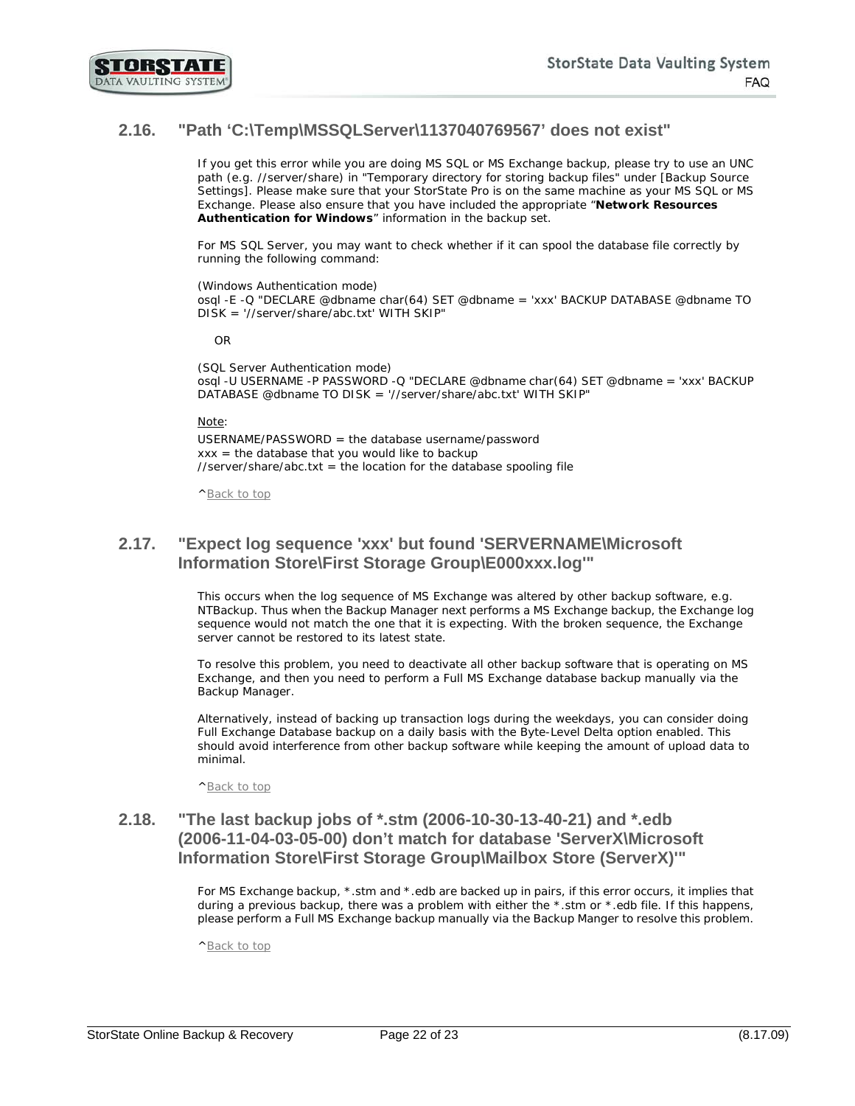

## <span id="page-21-0"></span>**2.16. "Path 'C:\Temp\MSSQLServer\1137040769567' does not exist"**

If you get this error while you are doing MS SQL or MS Exchange backup, please try to use an UNC path (e.g. //server/share) in "Temporary directory for storing backup files" under [Backup Source Settings]. Please make sure that your StorState Pro is on the same machine as your MS SQL or MS Exchange. Please also ensure that you have included the appropriate "**Network Resources**  Authentication for Windows" information in the backup set.

For MS SQL Server, you may want to check whether if it can spool the database file correctly by running the following command:

(Windows Authentication mode) osql -E -Q "DECLARE @dbname char(64) SET @dbname = 'xxx' BACKUP DATABASE @dbname TO DISK = '//server/share/abc.txt' WITH SKIP"

OR

(SQL Server Authentication mode) osql -U USERNAME -P PASSWORD -Q "DECLARE @dbname char(64) SET @dbname = 'xxx' BACKUP DATABASE @dbname TO DISK = '//server/share/abc.txt' WITH SKIP"

Note:

USERNAME/PASSWORD = the database username/password  $xxx =$  the database that you would like to backup  $\frac{1}{s}$  //server/share/abc.txt = the location for the database spooling file

[^Back to top](#page-0-0)

#### <span id="page-21-1"></span>**2.17. "Expect log sequence 'xxx' but found 'SERVERNAME\Microsoft Information Store\First Storage Group\E000xxx.log'"**

This occurs when the log sequence of MS Exchange was altered by other backup software, e.g. NTBackup. Thus when the Backup Manager next performs a MS Exchange backup, the Exchange log sequence would not match the one that it is expecting. With the broken sequence, the Exchange server cannot be restored to its latest state.

To resolve this problem, you need to deactivate all other backup software that is operating on MS Exchange, and then you need to perform a Full MS Exchange database backup manually via the Backup Manager.

Alternatively, instead of backing up transaction logs during the weekdays, you can consider doing Full Exchange Database backup on a daily basis with the Byte-Level Delta option enabled. This should avoid interference from other backup software while keeping the amount of upload data to minimal.

[^Back to top](#page-0-0)

## <span id="page-21-2"></span>**2.18. "The last backup jobs of \*.stm (2006-10-30-13-40-21) and \*.edb (2006-11-04-03-05-00) don't match for database 'ServerX\Microsoft Information Store\First Storage Group\Mailbox Store (ServerX)'"**

For MS Exchange backup, \*.stm and \*.edb are backed up in pairs, if this error occurs, it implies that during a previous backup, there was a problem with either the \*.stm or \*.edb file. If this happens, please perform a Full MS Exchange backup manually via the Backup Manger to resolve this problem.